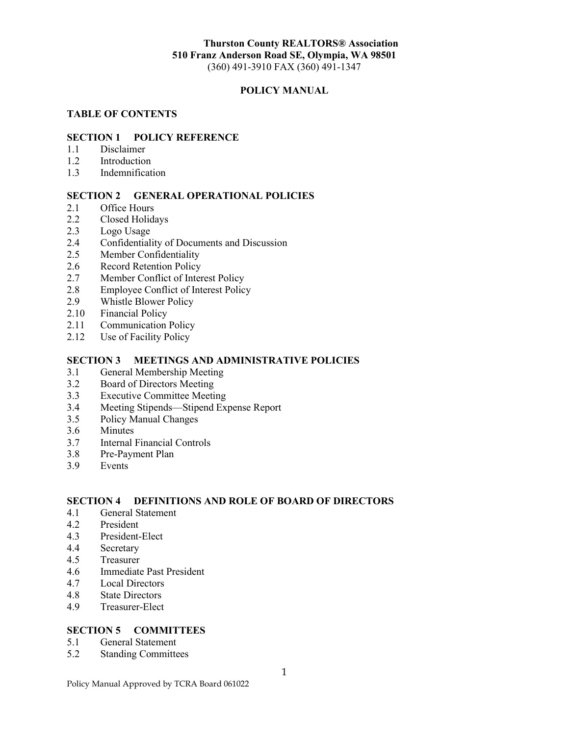### **Thurston County REALTORS® Association 510 Franz Anderson Road SE, Olympia, WA 98501** (360) 491-3910 FAX (360) 491-1347

### **POLICY MANUAL**

#### **TABLE OF CONTENTS**

#### **SECTION 1 POLICY REFERENCE**

- 1.1 Disclaimer
- 1.2 Introduction
- 1.3 Indemnification

### **SECTION 2 GENERAL OPERATIONAL POLICIES**

- 2.1 Office Hours
- 2.2 Closed Holidays
- 2.3 Logo Usage
- 2.4 Confidentiality of Documents and Discussion
- 2.5 Member Confidentiality
- 2.6 Record Retention Policy
- 2.7 Member Conflict of Interest Policy
- 2.8 Employee Conflict of Interest Policy<br>2.9 Whistle Blower Policy
- 2.9 Whistle Blower Policy<br>2.10 Financial Policy
- Financial Policy
- 2.11 Communication Policy
- 2.12 Use of Facility Policy

#### **SECTION 3 MEETINGS AND ADMINISTRATIVE POLICIES**

- 3.1 General Membership Meeting
- 3.2 Board of Directors Meeting
- 3.3 Executive Committee Meeting
- 3.4 Meeting Stipends—Stipend Expense Report<br>3.5 Policy Manual Changes
- Policy Manual Changes
- 3.6 Minutes
- 3.7 Internal Financial Controls<br>3.8 Pre-Payment Plan
- Pre-Payment Plan
- 3.9 Events

### **SECTION 4 DEFINITIONS AND ROLE OF BOARD OF DIRECTORS**

- 4.1 General Statement
- 4.2 President<br>4.3 President-
- President-Elect
- 4.4 Secretary
- 4.5 Treasurer
- 4.6 Immediate Past President
- 4.7 Local Directors
- 4.8 State Directors
- 4.9 Treasurer-Elect

### **SECTION 5 COMMITTEES**

- 5.1 General Statement<br>5.2 Standing Committe
- **Standing Committees**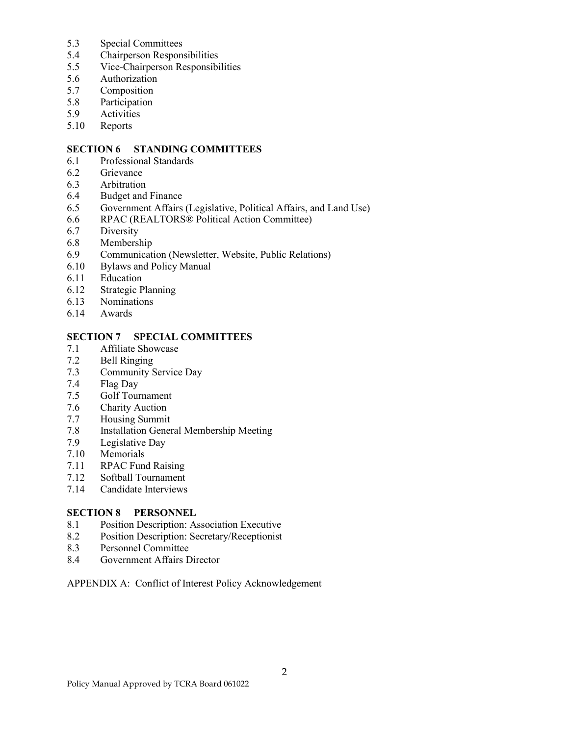- 5.3 Special Committees
- 5.4 Chairperson Responsibilities
- 5.5 Vice-Chairperson Responsibilities
- 5.6 Authorization
- 5.7 Composition<br>5.8 Participation
- 5.8 Participation<br>5.9 Activities
- Activities
- 5.10 Reports

### **SECTION 6 STANDING COMMITTEES**

- 6.1 Professional Standards
- 6.2 Grievance
- 6.3 Arbitration
- 6.4 Budget and Finance
- 6.5 Government Affairs (Legislative, Political Affairs, and Land Use)
- 6.6 RPAC (REALTORS® Political Action Committee)
- 6.7 Diversity
- 6.8 Membership
- 6.9 Communication (Newsletter, Website, Public Relations)
- 6.10 Bylaws and Policy Manual
- 6.11 Education
- 6.12 Strategic Planning
- 6.13 Nominations
- 6.14 Awards

# **SECTION 7 SPECIAL COMMITTEES**<br>7.1 Affiliate Showcase

- Affiliate Showcase
- 7.2 Bell Ringing
- 7.3 Community Service Day
- 7.4 Flag Day
- 7.5 Golf Tournament
- 7.6 Charity Auction
- 7.7 Housing Summit<br>7.8 Installation Gener
- Installation General Membership Meeting
- 7.9 Legislative Day<br>7.10 Memorials
- 7.10 Memorials<br>7.11 RPAC Fune
- RPAC Fund Raising
- 7.12 Softball Tournament
- 7.14 Candidate Interviews

### **SECTION 8 PERSONNEL**

- 8.1 Position Description: Association Executive<br>8.2 Position Description: Secretary/Receptionist
- Position Description: Secretary/Receptionist
- 8.3 Personnel Committee
- 8.4 Government Affairs Director

### APPENDIX A: Conflict of Interest Policy Acknowledgement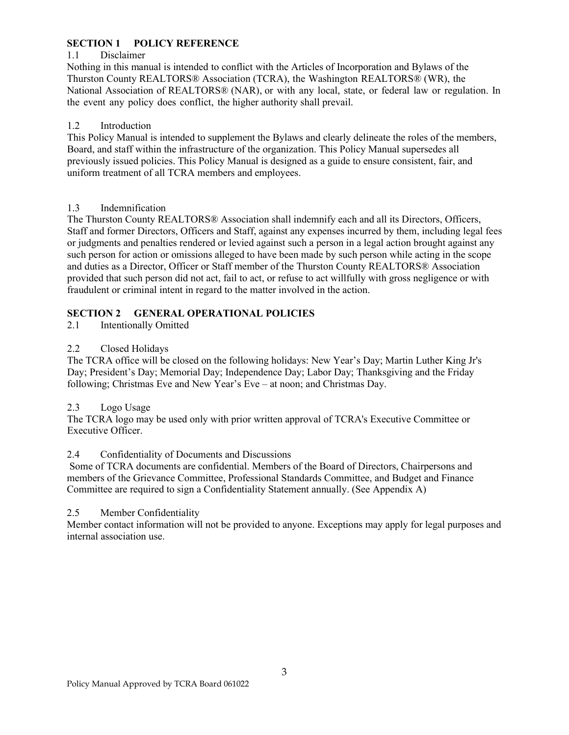# **SECTION 1 POLICY REFERENCE**

## 1.1 Disclaimer

Nothing in this manual is intended to conflict with the Articles of Incorporation and Bylaws of the Thurston County REALTORS® Association (TCRA), the Washington REALTORS® (WR), the National Association of REALTORS® (NAR), or with any local, state, or federal law or regulation. In the event any policy does conflict, the higher authority shall prevail.

# 1.2 Introduction

This Policy Manual is intended to supplement the Bylaws and clearly delineate the roles of the members, Board, and staff within the infrastructure of the organization. This Policy Manual supersedes all previously issued policies. This Policy Manual is designed as a guide to ensure consistent, fair, and uniform treatment of all TCRA members and employees.

### 1.3 Indemnification

The Thurston County REALTORS® Association shall indemnify each and all its Directors, Officers, Staff and former Directors, Officers and Staff, against any expenses incurred by them, including legal fees or judgments and penalties rendered or levied against such a person in a legal action brought against any such person for action or omissions alleged to have been made by such person while acting in the scope and duties as a Director, Officer or Staff member of the Thurston County REALTORS® Association provided that such person did not act, fail to act, or refuse to act willfully with gross negligence or with fraudulent or criminal intent in regard to the matter involved in the action.

# **SECTION 2 GENERAL OPERATIONAL POLICIES**

2.1 Intentionally Omitted

# 2.2 Closed Holidays

The TCRA office will be closed on the following holidays: New Year's Day; Martin Luther King Jr's Day; President's Day; Memorial Day; Independence Day; Labor Day; Thanksgiving and the Friday following; Christmas Eve and New Year's Eve – at noon; and Christmas Day.

### 2.3 Logo Usage

The TCRA logo may be used only with prior written approval of TCRA's Executive Committee or Executive Officer.

### 2.4 Confidentiality of Documents and Discussions

Some of TCRA documents are confidential. Members of the Board of Directors, Chairpersons and members of the Grievance Committee, Professional Standards Committee, and Budget and Finance Committee are required to sign a Confidentiality Statement annually. (See Appendix A)

### 2.5 Member Confidentiality

Member contact information will not be provided to anyone. Exceptions may apply for legal purposes and internal association use.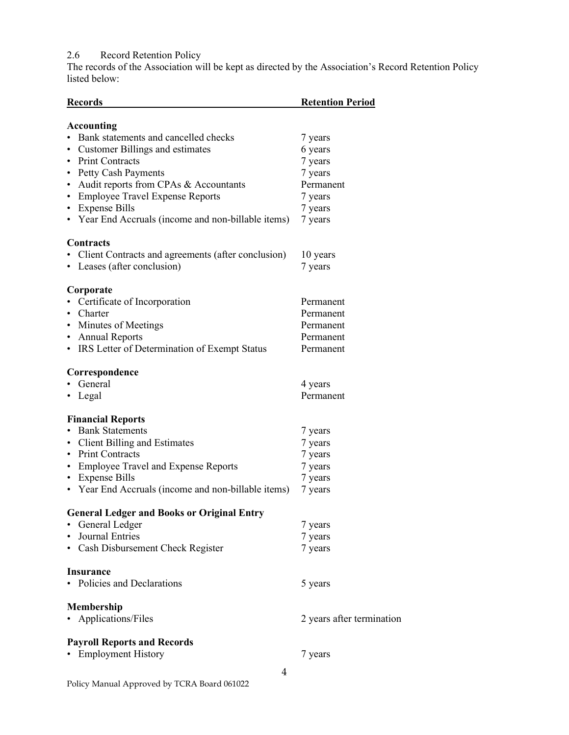2.6 Record Retention Policy

The records of the Association will be kept as directed by the Association's Record Retention Policy listed below:

| <b>Records</b>                                                     | <b>Retention Period</b>   |  |
|--------------------------------------------------------------------|---------------------------|--|
| <b>Accounting</b>                                                  |                           |  |
| Bank statements and cancelled checks                               | 7 years                   |  |
| <b>Customer Billings and estimates</b><br>$\bullet$                | 6 years                   |  |
| <b>Print Contracts</b><br>$\bullet$                                | 7 years                   |  |
| <b>Petty Cash Payments</b><br>$\bullet$                            | 7 years                   |  |
| Audit reports from CPAs & Accountants<br>٠                         | Permanent                 |  |
| <b>Employee Travel Expense Reports</b><br>٠                        | 7 years                   |  |
| <b>Expense Bills</b><br>٠                                          | 7 years                   |  |
| • Year End Accruals (income and non-billable items)                | 7 years                   |  |
| Contracts                                                          |                           |  |
| Client Contracts and agreements (after conclusion)                 | 10 years                  |  |
| • Leases (after conclusion)                                        | 7 years                   |  |
| Corporate                                                          |                           |  |
| Certificate of Incorporation                                       | Permanent                 |  |
| Charter<br>$\bullet$                                               | Permanent                 |  |
| ٠                                                                  | Permanent                 |  |
| Minutes of Meetings                                                |                           |  |
| • Annual Reports<br>• IRS Letter of Determination of Exempt Status | Permanent<br>Permanent    |  |
|                                                                    |                           |  |
| Correspondence                                                     |                           |  |
| General                                                            | 4 years                   |  |
| • Legal                                                            | Permanent                 |  |
| <b>Financial Reports</b>                                           |                           |  |
| <b>Bank Statements</b>                                             | 7 years                   |  |
| • Client Billing and Estimates                                     | 7 years                   |  |
| • Print Contracts                                                  | 7 years                   |  |
| • Employee Travel and Expense Reports                              | 7 years                   |  |
| • Expense Bills                                                    | 7 years                   |  |
| • Year End Accruals (income and non-billable items)                | 7 years                   |  |
| <b>General Ledger and Books or Original Entry</b>                  |                           |  |
| General Ledger                                                     | 7 years                   |  |
| <b>Journal Entries</b><br>$\bullet$                                | 7 years                   |  |
| • Cash Disbursement Check Register                                 | 7 years                   |  |
| <b>Insurance</b>                                                   |                           |  |
| • Policies and Declarations                                        | 5 years                   |  |
|                                                                    |                           |  |
| <b>Membership</b><br>Applications/Files                            |                           |  |
|                                                                    | 2 years after termination |  |
| <b>Payroll Reports and Records</b>                                 |                           |  |
| <b>Employment History</b>                                          | 7 years                   |  |
|                                                                    |                           |  |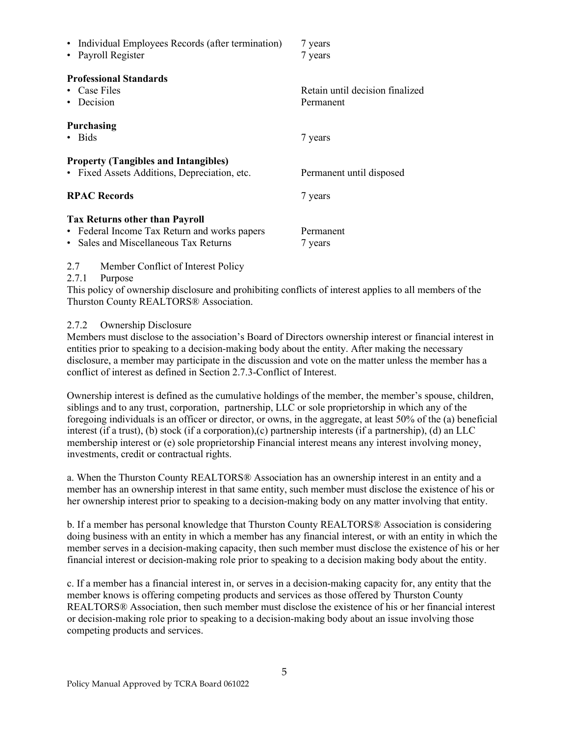| • Individual Employees Records (after termination)<br>• Payroll Register                                                       | 7 years<br>7 years                           |
|--------------------------------------------------------------------------------------------------------------------------------|----------------------------------------------|
| <b>Professional Standards</b><br>• Case Files<br>• Decision                                                                    | Retain until decision finalized<br>Permanent |
| <b>Purchasing</b><br>· Bids                                                                                                    | 7 years                                      |
| <b>Property (Tangibles and Intangibles)</b><br>• Fixed Assets Additions, Depreciation, etc.                                    | Permanent until disposed                     |
| <b>RPAC Records</b>                                                                                                            | 7 years                                      |
| <b>Tax Returns other than Payroll</b><br>• Federal Income Tax Return and works papers<br>• Sales and Miscellaneous Tax Returns | Permanent<br>/ years                         |

2.7 Member Conflict of Interest Policy

2.7.1 Purpose

This policy of ownership disclosure and prohibiting conflicts of interest applies to all members of the Thurston County REALTORS® Association.

2.7.2 Ownership Disclosure

Members must disclose to the association's Board of Directors ownership interest or financial interest in entities prior to speaking to a decision-making body about the entity. After making the necessary disclosure, a member may participate in the discussion and vote on the matter unless the member has a conflict of interest as defined in Section 2.7.3-Conflict of Interest.

Ownership interest is defined as the cumulative holdings of the member, the member's spouse, children, siblings and to any trust, corporation, partnership, LLC or sole proprietorship in which any of the foregoing individuals is an officer or director, or owns, in the aggregate, at least 50% of the (a) beneficial interest (if a trust), (b) stock (if a corporation),(c) partnership interests (if a partnership), (d) an LLC membership interest or (e) sole proprietorship Financial interest means any interest involving money, investments, credit or contractual rights.

a. When the Thurston County REALTORS® Association has an ownership interest in an entity and a member has an ownership interest in that same entity, such member must disclose the existence of his or her ownership interest prior to speaking to a decision-making body on any matter involving that entity.

b. If a member has personal knowledge that Thurston County REALTORS® Association is considering doing business with an entity in which a member has any financial interest, or with an entity in which the member serves in a decision-making capacity, then such member must disclose the existence of his or her financial interest or decision-making role prior to speaking to a decision making body about the entity.

c. If a member has a financial interest in, or serves in a decision-making capacity for, any entity that the member knows is offering competing products and services as those offered by Thurston County REALTORS® Association, then such member must disclose the existence of his or her financial interest or decision-making role prior to speaking to a decision-making body about an issue involving those competing products and services.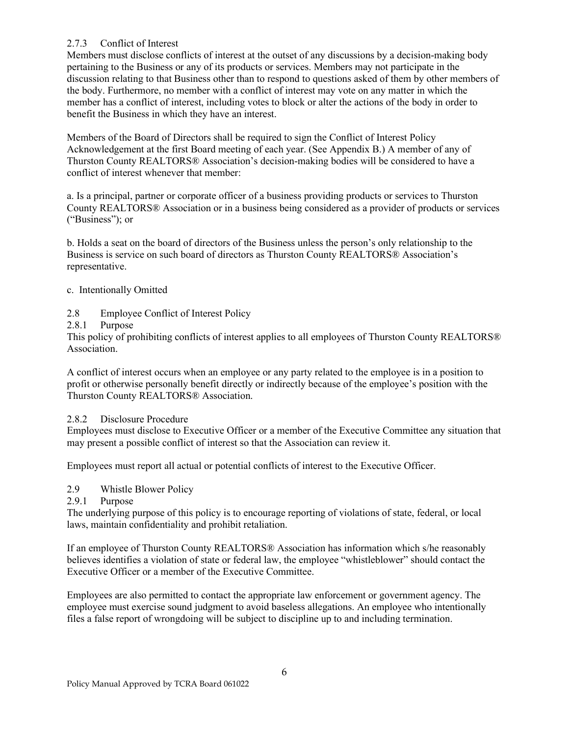## 2.7.3 Conflict of Interest

Members must disclose conflicts of interest at the outset of any discussions by a decision-making body pertaining to the Business or any of its products or services. Members may not participate in the discussion relating to that Business other than to respond to questions asked of them by other members of the body. Furthermore, no member with a conflict of interest may vote on any matter in which the member has a conflict of interest, including votes to block or alter the actions of the body in order to benefit the Business in which they have an interest.

Members of the Board of Directors shall be required to sign the Conflict of Interest Policy Acknowledgement at the first Board meeting of each year. (See Appendix B.) A member of any of Thurston County REALTORS® Association's decision-making bodies will be considered to have a conflict of interest whenever that member:

a. Is a principal, partner or corporate officer of a business providing products or services to Thurston County REALTORS® Association or in a business being considered as a provider of products or services ("Business"); or

b. Holds a seat on the board of directors of the Business unless the person's only relationship to the Business is service on such board of directors as Thurston County REALTORS® Association's representative.

### c. Intentionally Omitted

2.8 Employee Conflict of Interest Policy

2.8.1 Purpose

This policy of prohibiting conflicts of interest applies to all employees of Thurston County REALTORS® Association.

A conflict of interest occurs when an employee or any party related to the employee is in a position to profit or otherwise personally benefit directly or indirectly because of the employee's position with the Thurston County REALTORS® Association.

2.8.2 Disclosure Procedure

Employees must disclose to Executive Officer or a member of the Executive Committee any situation that may present a possible conflict of interest so that the Association can review it.

Employees must report all actual or potential conflicts of interest to the Executive Officer.

2.9 Whistle Blower Policy

### 2.9.1 Purpose

The underlying purpose of this policy is to encourage reporting of violations of state, federal, or local laws, maintain confidentiality and prohibit retaliation.

If an employee of Thurston County REALTORS® Association has information which s/he reasonably believes identifies a violation of state or federal law, the employee "whistleblower" should contact the Executive Officer or a member of the Executive Committee.

Employees are also permitted to contact the appropriate law enforcement or government agency. The employee must exercise sound judgment to avoid baseless allegations. An employee who intentionally files a false report of wrongdoing will be subject to discipline up to and including termination.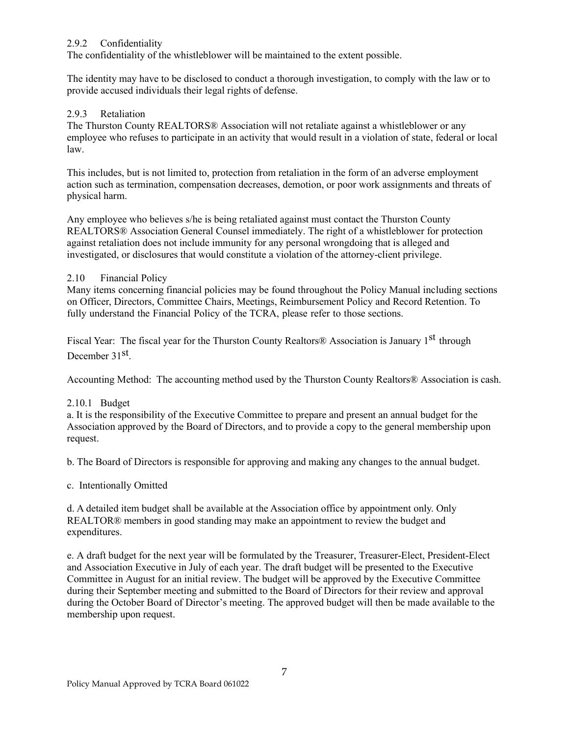### 2.9.2 Confidentiality

The confidentiality of the whistleblower will be maintained to the extent possible.

The identity may have to be disclosed to conduct a thorough investigation, to comply with the law or to provide accused individuals their legal rights of defense.

### 2.9.3 Retaliation

The Thurston County REALTORS® Association will not retaliate against a whistleblower or any employee who refuses to participate in an activity that would result in a violation of state, federal or local law.

This includes, but is not limited to, protection from retaliation in the form of an adverse employment action such as termination, compensation decreases, demotion, or poor work assignments and threats of physical harm.

Any employee who believes s/he is being retaliated against must contact the Thurston County REALTORS® Association General Counsel immediately. The right of a whistleblower for protection against retaliation does not include immunity for any personal wrongdoing that is alleged and investigated, or disclosures that would constitute a violation of the attorney-client privilege.

### 2.10 Financial Policy

Many items concerning financial policies may be found throughout the Policy Manual including sections on Officer, Directors, Committee Chairs, Meetings, Reimbursement Policy and Record Retention. To fully understand the Financial Policy of the TCRA, please refer to those sections.

Fiscal Year: The fiscal year for the Thurston County Realtors<sup>®</sup> Association is January 1<sup>st</sup> through December 31st.

Accounting Method: The accounting method used by the Thurston County Realtors® Association is cash.

### 2.10.1 Budget

a. It is the responsibility of the Executive Committee to prepare and present an annual budget for the Association approved by the Board of Directors, and to provide a copy to the general membership upon request.

b. The Board of Directors is responsible for approving and making any changes to the annual budget.

c. Intentionally Omitted

d. A detailed item budget shall be available at the Association office by appointment only. Only REALTOR® members in good standing may make an appointment to review the budget and expenditures.

e. A draft budget for the next year will be formulated by the Treasurer, Treasurer-Elect, President-Elect and Association Executive in July of each year. The draft budget will be presented to the Executive Committee in August for an initial review. The budget will be approved by the Executive Committee during their September meeting and submitted to the Board of Directors for their review and approval during the October Board of Director's meeting. The approved budget will then be made available to the membership upon request.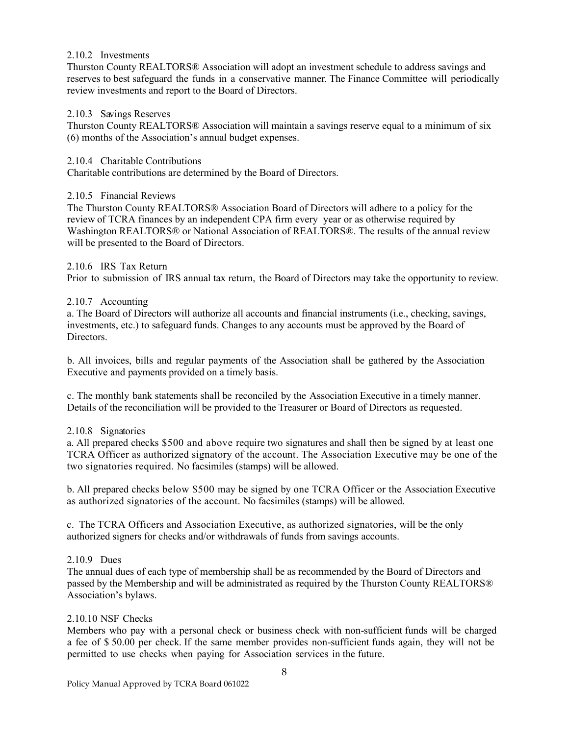#### 2.10.2 Investments

Thurston County REALTORS® Association will adopt an investment schedule to address savings and reserves to best safeguard the funds in a conservative manner. The Finance Committee will periodically review investments and report to the Board of Directors.

#### 2.10.3 Savings Reserves

Thurston County REALTORS® Association will maintain a savings reserve equal to a minimum of six (6) months of the Association's annual budget expenses.

#### 2.10.4 Charitable Contributions

Charitable contributions are determined by the Board of Directors.

#### 2.10.5 Financial Reviews

The Thurston County REALTORS® Association Board of Directors will adhere to a policy for the review of TCRA finances by an independent CPA firm every year or as otherwise required by Washington REALTORS® or National Association of REALTORS®. The results of the annual review will be presented to the Board of Directors.

#### 2.10.6 IRS Tax Return

Prior to submission of IRS annual tax return, the Board of Directors may take the opportunity to review.

#### 2.10.7 Accounting

a. The Board of Directors will authorize all accounts and financial instruments (i.e., checking, savings, investments, etc.) to safeguard funds. Changes to any accounts must be approved by the Board of Directors.

b. All invoices, bills and regular payments of the Association shall be gathered by the Association Executive and payments provided on a timely basis.

c. The monthly bank statements shall be reconciled by the Association Executive in a timely manner. Details of the reconciliation will be provided to the Treasurer or Board of Directors as requested.

### 2.10.8 Signatories

a. All prepared checks \$500 and above require two signatures and shall then be signed by at least one TCRA Officer as authorized signatory of the account. The Association Executive may be one of the two signatories required. No facsimiles (stamps) will be allowed.

b. All prepared checks below \$500 may be signed by one TCRA Officer or the Association Executive as authorized signatories of the account. No facsimiles (stamps) will be allowed.

c. The TCRA Officers and Association Executive, as authorized signatories, will be the only authorized signers for checks and/or withdrawals of funds from savings accounts.

### 2.10.9 Dues

The annual dues of each type of membership shall be as recommended by the Board of Directors and passed by the Membership and will be administrated as required by the Thurston County REALTORS® Association's bylaws.

#### 2.10.10 NSF Checks

Members who pay with a personal check or business check with non-sufficient funds will be charged a fee of \$ 50.00 per check. If the same member provides non-sufficient funds again, they will not be permitted to use checks when paying for Association services in the future.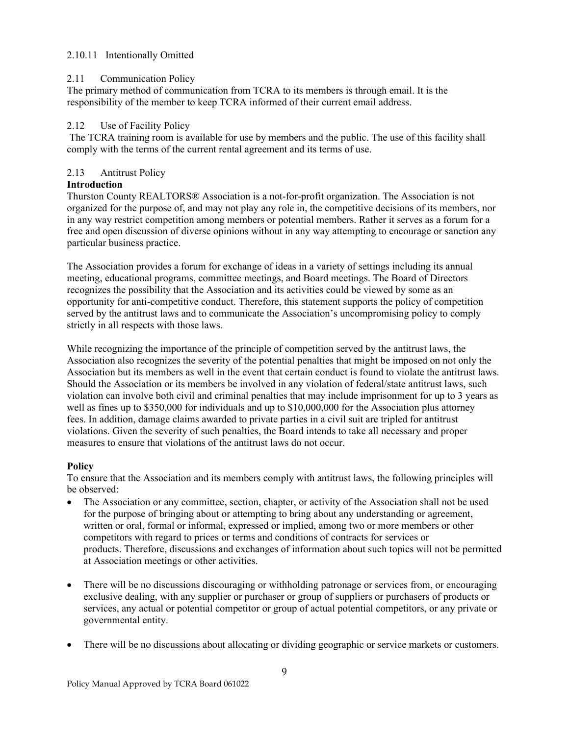### 2.10.11 Intentionally Omitted

### 2.11 Communication Policy

The primary method of communication from TCRA to its members is through email. It is the responsibility of the member to keep TCRA informed of their current email address.

### 2.12 Use of Facility Policy

The TCRA training room is available for use by members and the public. The use of this facility shall comply with the terms of the current rental agreement and its terms of use.

### 2.13 Antitrust Policy

### **Introduction**

Thurston County REALTORS® Association is a not-for-profit organization. The Association is not organized for the purpose of, and may not play any role in, the competitive decisions of its members, nor in any way restrict competition among members or potential members. Rather it serves as a forum for a free and open discussion of diverse opinions without in any way attempting to encourage or sanction any particular business practice.

The Association provides a forum for exchange of ideas in a variety of settings including its annual meeting, educational programs, committee meetings, and Board meetings. The Board of Directors recognizes the possibility that the Association and its activities could be viewed by some as an opportunity for anti-competitive conduct. Therefore, this statement supports the policy of competition served by the antitrust laws and to communicate the Association's uncompromising policy to comply strictly in all respects with those laws.

While recognizing the importance of the principle of competition served by the antitrust laws, the Association also recognizes the severity of the potential penalties that might be imposed on not only the Association but its members as well in the event that certain conduct is found to violate the antitrust laws. Should the Association or its members be involved in any violation of federal/state antitrust laws, such violation can involve both civil and criminal penalties that may include imprisonment for up to 3 years as well as fines up to \$350,000 for individuals and up to \$10,000,000 for the Association plus attorney fees. In addition, damage claims awarded to private parties in a civil suit are tripled for antitrust violations. Given the severity of such penalties, the Board intends to take all necessary and proper measures to ensure that violations of the antitrust laws do not occur.

### **Policy**

To ensure that the Association and its members comply with antitrust laws, the following principles will be observed:

- The Association or any committee, section, chapter, or activity of the Association shall not be used for the purpose of bringing about or attempting to bring about any understanding or agreement, written or oral, formal or informal, expressed or implied, among two or more members or other competitors with regard to prices or terms and conditions of contracts for services or products. Therefore, discussions and exchanges of information about such topics will not be permitted at Association meetings or other activities.
- There will be no discussions discouraging or withholding patronage or services from, or encouraging exclusive dealing, with any supplier or purchaser or group of suppliers or purchasers of products or services, any actual or potential competitor or group of actual potential competitors, or any private or governmental entity.
- There will be no discussions about allocating or dividing geographic or service markets or customers.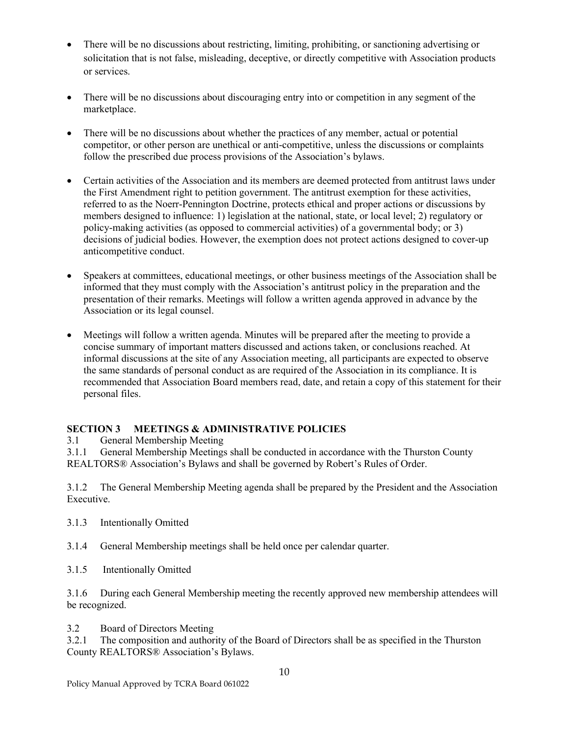- There will be no discussions about restricting, limiting, prohibiting, or sanctioning advertising or solicitation that is not false, misleading, deceptive, or directly competitive with Association products or services.
- There will be no discussions about discouraging entry into or competition in any segment of the marketplace.
- There will be no discussions about whether the practices of any member, actual or potential competitor, or other person are unethical or anti-competitive, unless the discussions or complaints follow the prescribed due process provisions of the Association's bylaws.
- Certain activities of the Association and its members are deemed protected from antitrust laws under the First Amendment right to petition government. The antitrust exemption for these activities, referred to as the Noerr-Pennington Doctrine, protects ethical and proper actions or discussions by members designed to influence: 1) legislation at the national, state, or local level; 2) regulatory or policy-making activities (as opposed to commercial activities) of a governmental body; or 3) decisions of judicial bodies. However, the exemption does not protect actions designed to cover-up anticompetitive conduct.
- Speakers at committees, educational meetings, or other business meetings of the Association shall be informed that they must comply with the Association's antitrust policy in the preparation and the presentation of their remarks. Meetings will follow a written agenda approved in advance by the Association or its legal counsel.
- Meetings will follow a written agenda. Minutes will be prepared after the meeting to provide a concise summary of important matters discussed and actions taken, or conclusions reached. At informal discussions at the site of any Association meeting, all participants are expected to observe the same standards of personal conduct as are required of the Association in its compliance. It is recommended that Association Board members read, date, and retain a copy of this statement for their personal files.

### **SECTION 3 MEETINGS & ADMINISTRATIVE POLICIES**

3.1 General Membership Meeting

3.1.1 General Membership Meetings shall be conducted in accordance with the Thurston County REALTORS® Association's Bylaws and shall be governed by Robert's Rules of Order.

3.1.2 The General Membership Meeting agenda shall be prepared by the President and the Association Executive.

- 3.1.3 Intentionally Omitted
- 3.1.4 General Membership meetings shall be held once per calendar quarter.
- 3.1.5 Intentionally Omitted

3.1.6 During each General Membership meeting the recently approved new membership attendees will be recognized.

3.2 Board of Directors Meeting

3.2.1 The composition and authority of the Board of Directors shall be as specified in the Thurston County REALTORS® Association's Bylaws.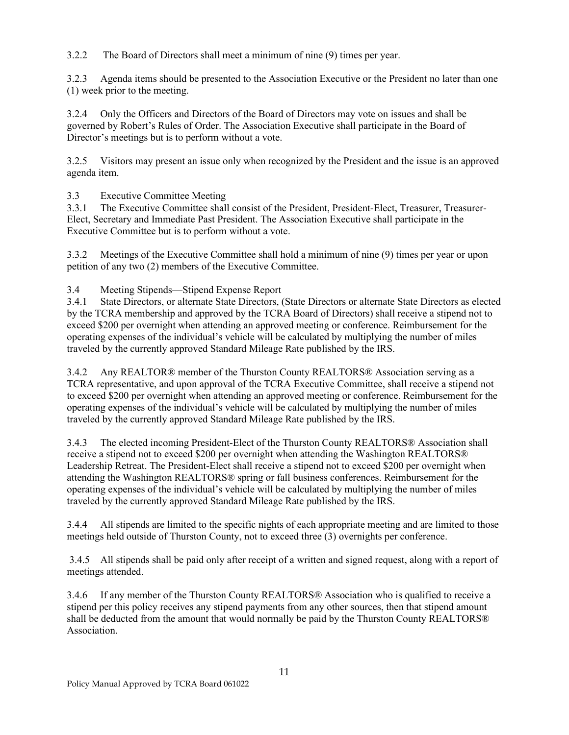3.2.2 The Board of Directors shall meet a minimum of nine (9) times per year.

3.2.3 Agenda items should be presented to the Association Executive or the President no later than one (1) week prior to the meeting.

3.2.4 Only the Officers and Directors of the Board of Directors may vote on issues and shall be governed by Robert's Rules of Order. The Association Executive shall participate in the Board of Director's meetings but is to perform without a vote.

3.2.5 Visitors may present an issue only when recognized by the President and the issue is an approved agenda item.

3.3 Executive Committee Meeting

3.3.1 The Executive Committee shall consist of the President, President-Elect, Treasurer, Treasurer-Elect, Secretary and Immediate Past President. The Association Executive shall participate in the Executive Committee but is to perform without a vote.

3.3.2 Meetings of the Executive Committee shall hold a minimum of nine (9) times per year or upon petition of any two (2) members of the Executive Committee.

3.4 Meeting Stipends—Stipend Expense Report

3.4.1 State Directors, or alternate State Directors, (State Directors or alternate State Directors as elected by the TCRA membership and approved by the TCRA Board of Directors) shall receive a stipend not to exceed \$200 per overnight when attending an approved meeting or conference. Reimbursement for the operating expenses of the individual's vehicle will be calculated by multiplying the number of miles traveled by the currently approved Standard Mileage Rate published by the IRS.

3.4.2 Any REALTOR® member of the Thurston County REALTORS® Association serving as a TCRA representative, and upon approval of the TCRA Executive Committee, shall receive a stipend not to exceed \$200 per overnight when attending an approved meeting or conference. Reimbursement for the operating expenses of the individual's vehicle will be calculated by multiplying the number of miles traveled by the currently approved Standard Mileage Rate published by the IRS.

3.4.3 The elected incoming President-Elect of the Thurston County REALTORS® Association shall receive a stipend not to exceed \$200 per overnight when attending the Washington REALTORS® Leadership Retreat. The President-Elect shall receive a stipend not to exceed \$200 per overnight when attending the Washington REALTORS® spring or fall business conferences. Reimbursement for the operating expenses of the individual's vehicle will be calculated by multiplying the number of miles traveled by the currently approved Standard Mileage Rate published by the IRS.

3.4.4 All stipends are limited to the specific nights of each appropriate meeting and are limited to those meetings held outside of Thurston County, not to exceed three (3) overnights per conference.

3.4.5 All stipends shall be paid only after receipt of a written and signed request, along with a report of meetings attended.

3.4.6 If any member of the Thurston County REALTORS® Association who is qualified to receive a stipend per this policy receives any stipend payments from any other sources, then that stipend amount shall be deducted from the amount that would normally be paid by the Thurston County REALTORS® Association.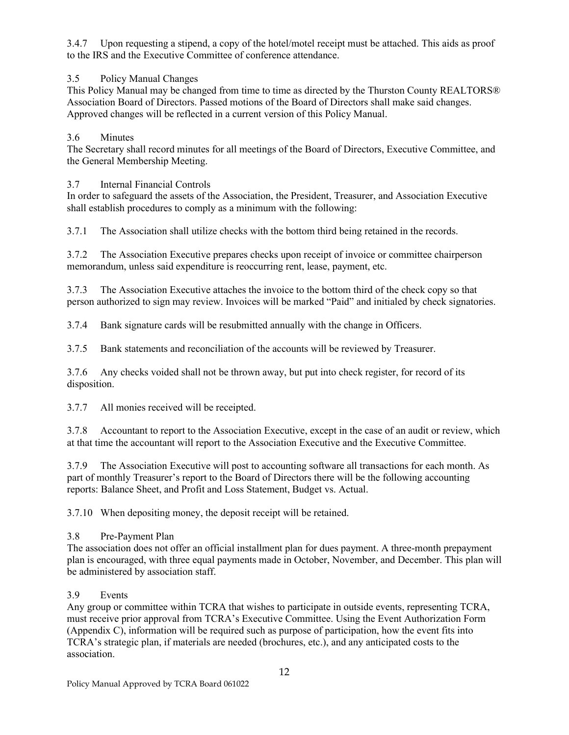3.4.7 Upon requesting a stipend, a copy of the hotel/motel receipt must be attached. This aids as proof to the IRS and the Executive Committee of conference attendance.

# 3.5 Policy Manual Changes

This Policy Manual may be changed from time to time as directed by the Thurston County REALTORS® Association Board of Directors. Passed motions of the Board of Directors shall make said changes. Approved changes will be reflected in a current version of this Policy Manual.

# 3.6 Minutes

The Secretary shall record minutes for all meetings of the Board of Directors, Executive Committee, and the General Membership Meeting.

### 3.7 Internal Financial Controls

In order to safeguard the assets of the Association, the President, Treasurer, and Association Executive shall establish procedures to comply as a minimum with the following:

3.7.1 The Association shall utilize checks with the bottom third being retained in the records.

3.7.2 The Association Executive prepares checks upon receipt of invoice or committee chairperson memorandum, unless said expenditure is reoccurring rent, lease, payment, etc.

3.7.3 The Association Executive attaches the invoice to the bottom third of the check copy so that person authorized to sign may review. Invoices will be marked "Paid" and initialed by check signatories.

3.7.4 Bank signature cards will be resubmitted annually with the change in Officers.

3.7.5 Bank statements and reconciliation of the accounts will be reviewed by Treasurer.

3.7.6 Any checks voided shall not be thrown away, but put into check register, for record of its disposition.

3.7.7 All monies received will be receipted.

3.7.8 Accountant to report to the Association Executive, except in the case of an audit or review, which at that time the accountant will report to the Association Executive and the Executive Committee.

3.7.9 The Association Executive will post to accounting software all transactions for each month. As part of monthly Treasurer's report to the Board of Directors there will be the following accounting reports: Balance Sheet, and Profit and Loss Statement, Budget vs. Actual.

3.7.10 When depositing money, the deposit receipt will be retained.

### 3.8 Pre-Payment Plan

The association does not offer an official installment plan for dues payment. A three-month prepayment plan is encouraged, with three equal payments made in October, November, and December. This plan will be administered by association staff.

### 3.9 Events

Any group or committee within TCRA that wishes to participate in outside events, representing TCRA, must receive prior approval from TCRA's Executive Committee. Using the Event Authorization Form (Appendix C), information will be required such as purpose of participation, how the event fits into TCRA's strategic plan, if materials are needed (brochures, etc.), and any anticipated costs to the association.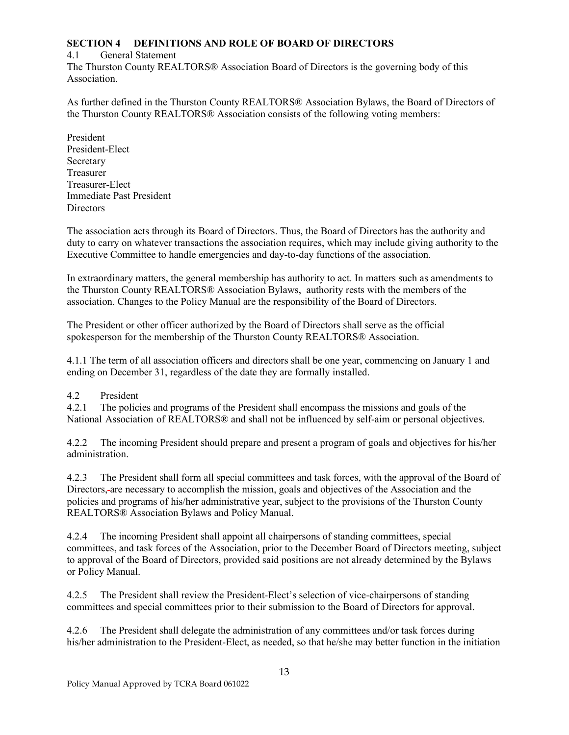## **SECTION 4 DEFINITIONS AND ROLE OF BOARD OF DIRECTORS**

### 4.1 General Statement

The Thurston County REALTORS® Association Board of Directors is the governing body of this Association.

As further defined in the Thurston County REALTORS® Association Bylaws, the Board of Directors of the Thurston County REALTORS® Association consists of the following voting members:

President President-Elect Secretary Treasurer Treasurer-Elect Immediate Past President **Directors** 

The association acts through its Board of Directors. Thus, the Board of Directors has the authority and duty to carry on whatever transactions the association requires, which may include giving authority to the Executive Committee to handle emergencies and day-to-day functions of the association.

In extraordinary matters, the general membership has authority to act. In matters such as amendments to the Thurston County REALTORS® Association Bylaws, authority rests with the members of the association. Changes to the Policy Manual are the responsibility of the Board of Directors.

The President or other officer authorized by the Board of Directors shall serve as the official spokesperson for the membership of the Thurston County REALTORS® Association.

4.1.1 The term of all association officers and directors shall be one year, commencing on January 1 and ending on December 31, regardless of the date they are formally installed.

### 4.2 President

4.2.1 The policies and programs of the President shall encompass the missions and goals of the National Association of REALTORS® and shall not be influenced by self-aim or personal objectives.

4.2.2 The incoming President should prepare and present a program of goals and objectives for his/her administration.

4.2.3 The President shall form all special committees and task forces, with the approval of the Board of Directors, are necessary to accomplish the mission, goals and objectives of the Association and the policies and programs of his/her administrative year, subject to the provisions of the Thurston County REALTORS® Association Bylaws and Policy Manual.

4.2.4 The incoming President shall appoint all chairpersons of standing committees, special committees, and task forces of the Association, prior to the December Board of Directors meeting, subject to approval of the Board of Directors, provided said positions are not already determined by the Bylaws or Policy Manual.

4.2.5 The President shall review the President-Elect's selection of vice-chairpersons of standing committees and special committees prior to their submission to the Board of Directors for approval.

4.2.6 The President shall delegate the administration of any committees and/or task forces during his/her administration to the President-Elect, as needed, so that he/she may better function in the initiation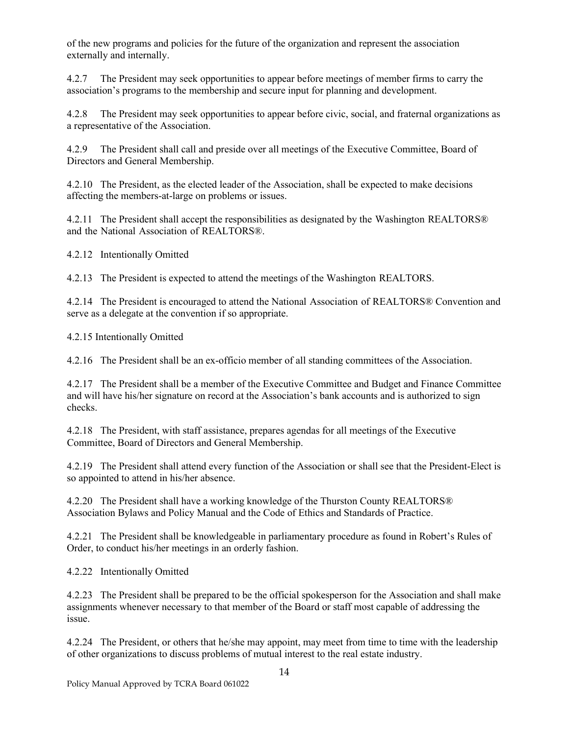of the new programs and policies for the future of the organization and represent the association externally and internally.

4.2.7 The President may seek opportunities to appear before meetings of member firms to carry the association's programs to the membership and secure input for planning and development.

4.2.8 The President may seek opportunities to appear before civic, social, and fraternal organizations as a representative of the Association.

4.2.9 The President shall call and preside over all meetings of the Executive Committee, Board of Directors and General Membership.

4.2.10 The President, as the elected leader of the Association, shall be expected to make decisions affecting the members-at-large on problems or issues.

4.2.11 The President shall accept the responsibilities as designated by the Washington REALTORS® and the National Association of REALTORS®.

4.2.12 Intentionally Omitted

4.2.13 The President is expected to attend the meetings of the Washington REALTORS.

4.2.14 The President is encouraged to attend the National Association of REALTORS® Convention and serve as a delegate at the convention if so appropriate.

4.2.15 Intentionally Omitted

4.2.16 The President shall be an ex-officio member of all standing committees of the Association.

4.2.17 The President shall be a member of the Executive Committee and Budget and Finance Committee and will have his/her signature on record at the Association's bank accounts and is authorized to sign checks.

4.2.18 The President, with staff assistance, prepares agendas for all meetings of the Executive Committee, Board of Directors and General Membership.

4.2.19 The President shall attend every function of the Association or shall see that the President-Elect is so appointed to attend in his/her absence.

4.2.20 The President shall have a working knowledge of the Thurston County REALTORS® Association Bylaws and Policy Manual and the Code of Ethics and Standards of Practice.

4.2.21 The President shall be knowledgeable in parliamentary procedure as found in Robert's Rules of Order, to conduct his/her meetings in an orderly fashion.

4.2.22 Intentionally Omitted

4.2.23 The President shall be prepared to be the official spokesperson for the Association and shall make assignments whenever necessary to that member of the Board or staff most capable of addressing the issue.

4.2.24 The President, or others that he/she may appoint, may meet from time to time with the leadership of other organizations to discuss problems of mutual interest to the real estate industry.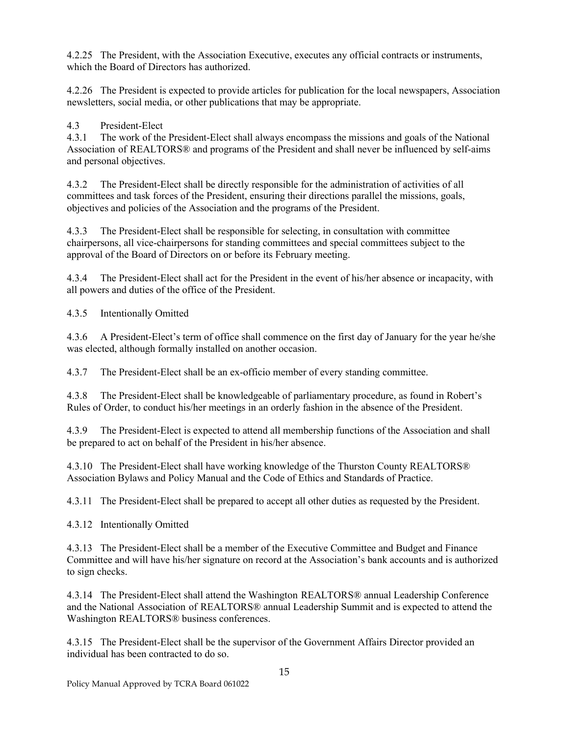4.2.25 The President, with the Association Executive, executes any official contracts or instruments, which the Board of Directors has authorized.

4.2.26 The President is expected to provide articles for publication for the local newspapers, Association newsletters, social media, or other publications that may be appropriate.

4.3 President-Elect

4.3.1 The work of the President-Elect shall always encompass the missions and goals of the National Association of REALTORS® and programs of the President and shall never be influenced by self-aims and personal objectives.

4.3.2 The President-Elect shall be directly responsible for the administration of activities of all committees and task forces of the President, ensuring their directions parallel the missions, goals, objectives and policies of the Association and the programs of the President.

4.3.3 The President-Elect shall be responsible for selecting, in consultation with committee chairpersons, all vice-chairpersons for standing committees and special committees subject to the approval of the Board of Directors on or before its February meeting.

4.3.4 The President-Elect shall act for the President in the event of his/her absence or incapacity, with all powers and duties of the office of the President.

4.3.5 Intentionally Omitted

4.3.6 A President-Elect's term of office shall commence on the first day of January for the year he/she was elected, although formally installed on another occasion.

4.3.7 The President-Elect shall be an ex-officio member of every standing committee.

4.3.8 The President-Elect shall be knowledgeable of parliamentary procedure, as found in Robert's Rules of Order, to conduct his/her meetings in an orderly fashion in the absence of the President.

4.3.9 The President-Elect is expected to attend all membership functions of the Association and shall be prepared to act on behalf of the President in his/her absence.

4.3.10 The President-Elect shall have working knowledge of the Thurston County REALTORS® Association Bylaws and Policy Manual and the Code of Ethics and Standards of Practice.

4.3.11 The President-Elect shall be prepared to accept all other duties as requested by the President.

4.3.12 Intentionally Omitted

4.3.13 The President-Elect shall be a member of the Executive Committee and Budget and Finance Committee and will have his/her signature on record at the Association's bank accounts and is authorized to sign checks.

4.3.14 The President-Elect shall attend the Washington REALTORS® annual Leadership Conference and the National Association of REALTORS® annual Leadership Summit and is expected to attend the Washington REALTORS® business conferences.

4.3.15 The President-Elect shall be the supervisor of the Government Affairs Director provided an individual has been contracted to do so.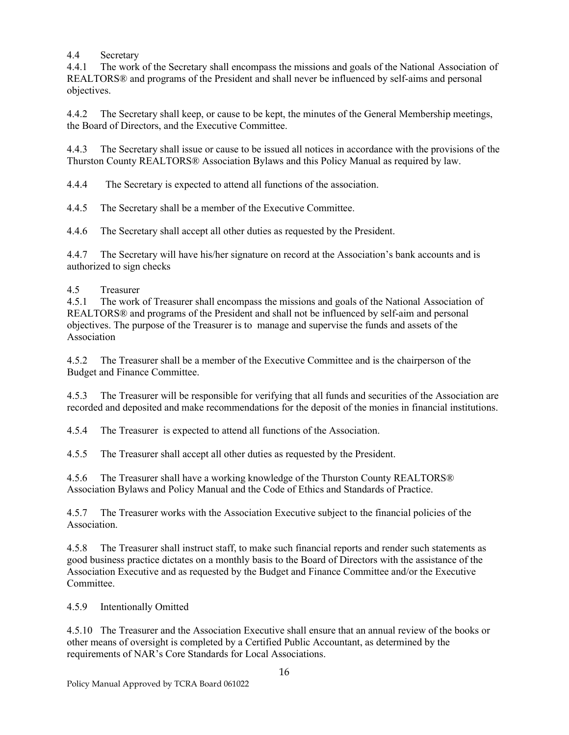### 4.4 Secretary

4.4.1 The work of the Secretary shall encompass the missions and goals of the National Association of REALTORS® and programs of the President and shall never be influenced by self-aims and personal objectives.

4.4.2 The Secretary shall keep, or cause to be kept, the minutes of the General Membership meetings, the Board of Directors, and the Executive Committee.

4.4.3 The Secretary shall issue or cause to be issued all notices in accordance with the provisions of the Thurston County REALTORS® Association Bylaws and this Policy Manual as required by law.

4.4.4 The Secretary is expected to attend all functions of the association.

4.4.5 The Secretary shall be a member of the Executive Committee.

4.4.6 The Secretary shall accept all other duties as requested by the President.

4.4.7 The Secretary will have his/her signature on record at the Association's bank accounts and is authorized to sign checks

### 4.5 Treasurer

4.5.1 The work of Treasurer shall encompass the missions and goals of the National Association of REALTORS® and programs of the President and shall not be influenced by self-aim and personal objectives. The purpose of the Treasurer is to manage and supervise the funds and assets of the Association

4.5.2 The Treasurer shall be a member of the Executive Committee and is the chairperson of the Budget and Finance Committee.

4.5.3 The Treasurer will be responsible for verifying that all funds and securities of the Association are recorded and deposited and make recommendations for the deposit of the monies in financial institutions.

4.5.4 The Treasurer is expected to attend all functions of the Association.

4.5.5 The Treasurer shall accept all other duties as requested by the President.

4.5.6 The Treasurer shall have a working knowledge of the Thurston County REALTORS® Association Bylaws and Policy Manual and the Code of Ethics and Standards of Practice.

4.5.7 The Treasurer works with the Association Executive subject to the financial policies of the Association.

4.5.8 The Treasurer shall instruct staff, to make such financial reports and render such statements as good business practice dictates on a monthly basis to the Board of Directors with the assistance of the Association Executive and as requested by the Budget and Finance Committee and/or the Executive Committee.

4.5.9 Intentionally Omitted

4.5.10 The Treasurer and the Association Executive shall ensure that an annual review of the books or other means of oversight is completed by a Certified Public Accountant, as determined by the requirements of NAR's Core Standards for Local Associations.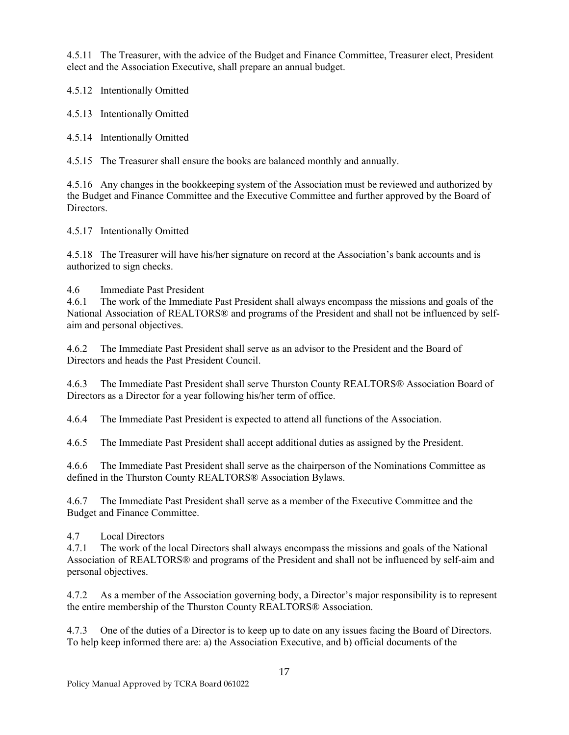4.5.11 The Treasurer, with the advice of the Budget and Finance Committee, Treasurer elect, President elect and the Association Executive, shall prepare an annual budget.

4.5.12 Intentionally Omitted

4.5.13 Intentionally Omitted

4.5.14 Intentionally Omitted

4.5.15 The Treasurer shall ensure the books are balanced monthly and annually.

4.5.16 Any changes in the bookkeeping system of the Association must be reviewed and authorized by the Budget and Finance Committee and the Executive Committee and further approved by the Board of Directors.

4.5.17 Intentionally Omitted

4.5.18 The Treasurer will have his/her signature on record at the Association's bank accounts and is authorized to sign checks.

### 4.6 Immediate Past President

4.6.1 The work of the Immediate Past President shall always encompass the missions and goals of the National Association of REALTORS® and programs of the President and shall not be influenced by selfaim and personal objectives.

4.6.2 The Immediate Past President shall serve as an advisor to the President and the Board of Directors and heads the Past President Council.

4.6.3 The Immediate Past President shall serve Thurston County REALTORS® Association Board of Directors as a Director for a year following his/her term of office.

4.6.4 The Immediate Past President is expected to attend all functions of the Association.

4.6.5 The Immediate Past President shall accept additional duties as assigned by the President.

4.6.6 The Immediate Past President shall serve as the chairperson of the Nominations Committee as defined in the Thurston County REALTORS® Association Bylaws.

4.6.7 The Immediate Past President shall serve as a member of the Executive Committee and the Budget and Finance Committee.

4.7 Local Directors

4.7.1 The work of the local Directors shall always encompass the missions and goals of the National Association of REALTORS® and programs of the President and shall not be influenced by self-aim and personal objectives.

4.7.2 As a member of the Association governing body, a Director's major responsibility is to represent the entire membership of the Thurston County REALTORS® Association.

4.7.3 One of the duties of a Director is to keep up to date on any issues facing the Board of Directors. To help keep informed there are: a) the Association Executive, and b) official documents of the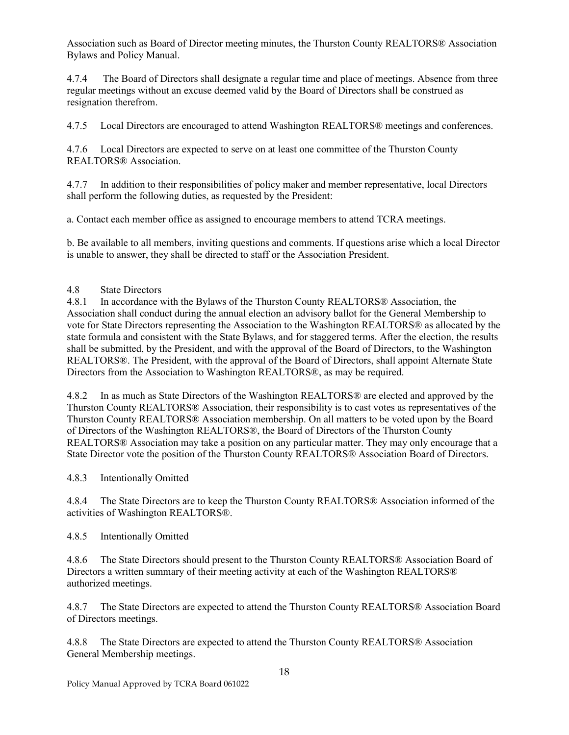Association such as Board of Director meeting minutes, the Thurston County REALTORS® Association Bylaws and Policy Manual.

4.7.4 The Board of Directors shall designate a regular time and place of meetings. Absence from three regular meetings without an excuse deemed valid by the Board of Directors shall be construed as resignation therefrom.

4.7.5 Local Directors are encouraged to attend Washington REALTORS® meetings and conferences.

4.7.6 Local Directors are expected to serve on at least one committee of the Thurston County REALTORS® Association.

4.7.7 In addition to their responsibilities of policy maker and member representative, local Directors shall perform the following duties, as requested by the President:

a. Contact each member office as assigned to encourage members to attend TCRA meetings.

b. Be available to all members, inviting questions and comments. If questions arise which a local Director is unable to answer, they shall be directed to staff or the Association President.

### 4.8 State Directors

4.8.1 In accordance with the Bylaws of the Thurston County REALTORS® Association, the Association shall conduct during the annual election an advisory ballot for the General Membership to vote for State Directors representing the Association to the Washington REALTORS® as allocated by the state formula and consistent with the State Bylaws, and for staggered terms. After the election, the results shall be submitted, by the President, and with the approval of the Board of Directors, to the Washington REALTORS®. The President, with the approval of the Board of Directors, shall appoint Alternate State Directors from the Association to Washington REALTORS®, as may be required.

4.8.2 In as much as State Directors of the Washington REALTORS® are elected and approved by the Thurston County REALTORS® Association, their responsibility is to cast votes as representatives of the Thurston County REALTORS® Association membership. On all matters to be voted upon by the Board of Directors of the Washington REALTORS®, the Board of Directors of the Thurston County REALTORS® Association may take a position on any particular matter. They may only encourage that a State Director vote the position of the Thurston County REALTORS® Association Board of Directors.

4.8.3 Intentionally Omitted

4.8.4 The State Directors are to keep the Thurston County REALTORS® Association informed of the activities of Washington REALTORS®.

4.8.5 Intentionally Omitted

4.8.6 The State Directors should present to the Thurston County REALTORS® Association Board of Directors a written summary of their meeting activity at each of the Washington REALTORS® authorized meetings.

4.8.7 The State Directors are expected to attend the Thurston County REALTORS® Association Board of Directors meetings.

4.8.8 The State Directors are expected to attend the Thurston County REALTORS® Association General Membership meetings.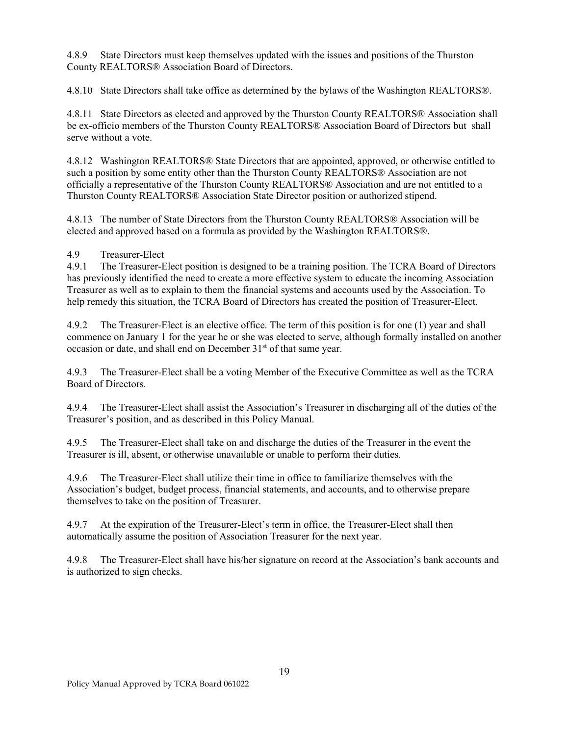4.8.9 State Directors must keep themselves updated with the issues and positions of the Thurston County REALTORS® Association Board of Directors.

4.8.10 State Directors shall take office as determined by the bylaws of the Washington REALTORS®.

4.8.11 State Directors as elected and approved by the Thurston County REALTORS® Association shall be ex-officio members of the Thurston County REALTORS® Association Board of Directors but shall serve without a vote.

4.8.12 Washington REALTORS® State Directors that are appointed, approved, or otherwise entitled to such a position by some entity other than the Thurston County REALTORS® Association are not officially a representative of the Thurston County REALTORS® Association and are not entitled to a Thurston County REALTORS® Association State Director position or authorized stipend.

4.8.13 The number of State Directors from the Thurston County REALTORS® Association will be elected and approved based on a formula as provided by the Washington REALTORS®.

### 4.9 Treasurer-Elect

4.9.1 The Treasurer-Elect position is designed to be a training position. The TCRA Board of Directors has previously identified the need to create a more effective system to educate the incoming Association Treasurer as well as to explain to them the financial systems and accounts used by the Association. To help remedy this situation, the TCRA Board of Directors has created the position of Treasurer-Elect.

4.9.2 The Treasurer-Elect is an elective office. The term of this position is for one (1) year and shall commence on January 1 for the year he or she was elected to serve, although formally installed on another occasion or date, and shall end on December 31<sup>st</sup> of that same year.

4.9.3 The Treasurer-Elect shall be a voting Member of the Executive Committee as well as the TCRA Board of Directors.

4.9.4 The Treasurer-Elect shall assist the Association's Treasurer in discharging all of the duties of the Treasurer's position, and as described in this Policy Manual.

4.9.5 The Treasurer-Elect shall take on and discharge the duties of the Treasurer in the event the Treasurer is ill, absent, or otherwise unavailable or unable to perform their duties.

4.9.6 The Treasurer-Elect shall utilize their time in office to familiarize themselves with the Association's budget, budget process, financial statements, and accounts, and to otherwise prepare themselves to take on the position of Treasurer.

4.9.7 At the expiration of the Treasurer-Elect's term in office, the Treasurer-Elect shall then automatically assume the position of Association Treasurer for the next year.

4.9.8 The Treasurer-Elect shall have his/her signature on record at the Association's bank accounts and is authorized to sign checks.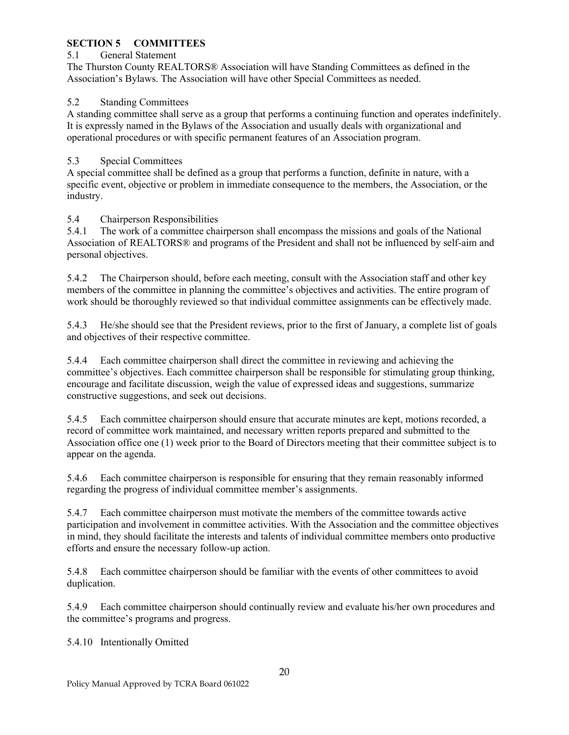# **SECTION 5 COMMITTEES**

### 5.1 General Statement

The Thurston County REALTORS® Association will have Standing Committees as defined in the Association's Bylaws. The Association will have other Special Committees as needed.

### 5.2 Standing Committees

A standing committee shall serve as a group that performs a continuing function and operates indefinitely. It is expressly named in the Bylaws of the Association and usually deals with organizational and operational procedures or with specific permanent features of an Association program.

### 5.3 Special Committees

A special committee shall be defined as a group that performs a function, definite in nature, with a specific event, objective or problem in immediate consequence to the members, the Association, or the industry.

### 5.4 Chairperson Responsibilities

5.4.1 The work of a committee chairperson shall encompass the missions and goals of the National Association of REALTORS® and programs of the President and shall not be influenced by self-aim and personal objectives.

5.4.2 The Chairperson should, before each meeting, consult with the Association staff and other key members of the committee in planning the committee's objectives and activities. The entire program of work should be thoroughly reviewed so that individual committee assignments can be effectively made.

5.4.3 He/she should see that the President reviews, prior to the first of January, a complete list of goals and objectives of their respective committee.

5.4.4 Each committee chairperson shall direct the committee in reviewing and achieving the committee's objectives. Each committee chairperson shall be responsible for stimulating group thinking, encourage and facilitate discussion, weigh the value of expressed ideas and suggestions, summarize constructive suggestions, and seek out decisions.

5.4.5 Each committee chairperson should ensure that accurate minutes are kept, motions recorded, a record of committee work maintained, and necessary written reports prepared and submitted to the Association office one (1) week prior to the Board of Directors meeting that their committee subject is to appear on the agenda.

5.4.6 Each committee chairperson is responsible for ensuring that they remain reasonably informed regarding the progress of individual committee member's assignments.

5.4.7 Each committee chairperson must motivate the members of the committee towards active participation and involvement in committee activities. With the Association and the committee objectives in mind, they should facilitate the interests and talents of individual committee members onto productive efforts and ensure the necessary follow-up action.

5.4.8 Each committee chairperson should be familiar with the events of other committees to avoid duplication.

5.4.9 Each committee chairperson should continually review and evaluate his/her own procedures and the committee's programs and progress.

5.4.10 Intentionally Omitted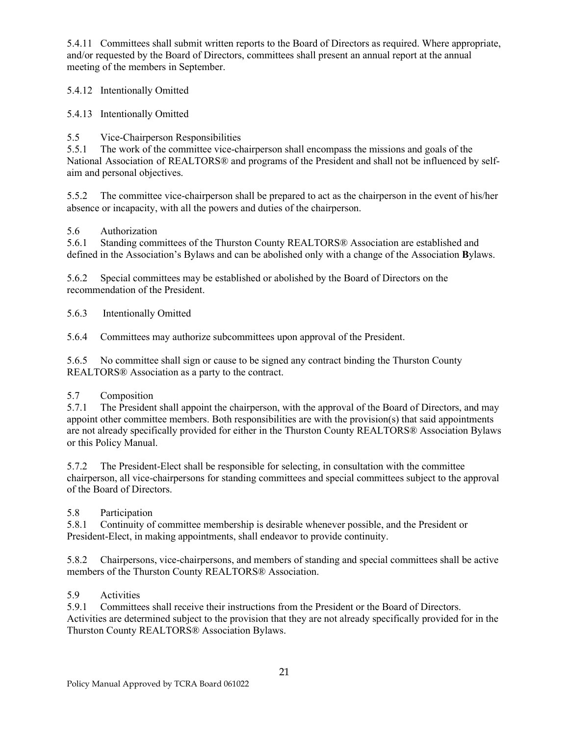5.4.11 Committees shall submit written reports to the Board of Directors as required. Where appropriate, and/or requested by the Board of Directors, committees shall present an annual report at the annual meeting of the members in September.

5.4.12 Intentionally Omitted

5.4.13 Intentionally Omitted

### 5.5 Vice-Chairperson Responsibilities

5.5.1 The work of the committee vice-chairperson shall encompass the missions and goals of the National Association of REALTORS® and programs of the President and shall not be influenced by selfaim and personal objectives.

5.5.2 The committee vice-chairperson shall be prepared to act as the chairperson in the event of his/her absence or incapacity, with all the powers and duties of the chairperson.

### 5.6 Authorization

5.6.1 Standing committees of the Thurston County REALTORS® Association are established and defined in the Association's Bylaws and can be abolished only with a change of the Association **B**ylaws.

5.6.2 Special committees may be established or abolished by the Board of Directors on the recommendation of the President.

5.6.3 Intentionally Omitted

5.6.4 Committees may authorize subcommittees upon approval of the President.

5.6.5 No committee shall sign or cause to be signed any contract binding the Thurston County REALTORS® Association as a party to the contract.

### 5.7 Composition

5.7.1 The President shall appoint the chairperson, with the approval of the Board of Directors, and may appoint other committee members. Both responsibilities are with the provision(s) that said appointments are not already specifically provided for either in the Thurston County REALTORS® Association Bylaws or this Policy Manual.

5.7.2 The President-Elect shall be responsible for selecting, in consultation with the committee chairperson, all vice-chairpersons for standing committees and special committees subject to the approval of the Board of Directors.

### 5.8 Participation

5.8.1 Continuity of committee membership is desirable whenever possible, and the President or President-Elect, in making appointments, shall endeavor to provide continuity.

5.8.2 Chairpersons, vice-chairpersons, and members of standing and special committees shall be active members of the Thurston County REALTORS® Association.

### 5.9 Activities

5.9.1 Committees shall receive their instructions from the President or the Board of Directors. Activities are determined subject to the provision that they are not already specifically provided for in the Thurston County REALTORS® Association Bylaws.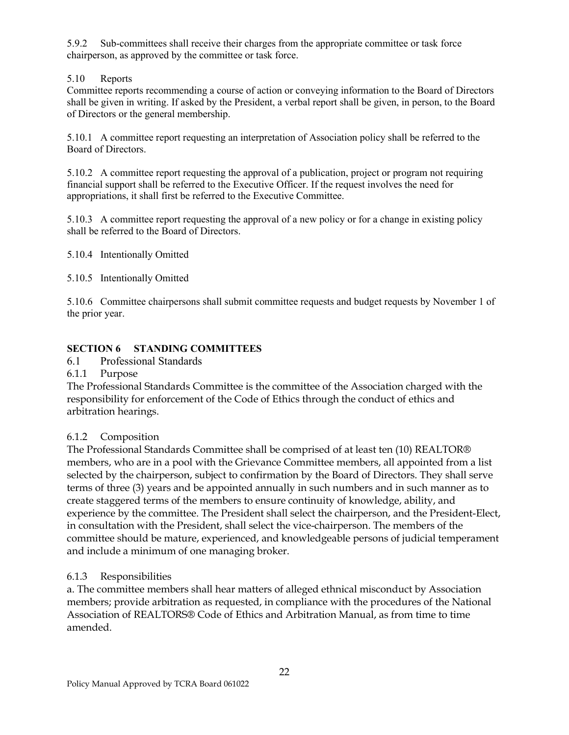5.9.2 Sub-committees shall receive their charges from the appropriate committee or task force chairperson, as approved by the committee or task force.

# 5.10 Reports

Committee reports recommending a course of action or conveying information to the Board of Directors shall be given in writing. If asked by the President, a verbal report shall be given, in person, to the Board of Directors or the general membership.

5.10.1 A committee report requesting an interpretation of Association policy shall be referred to the Board of Directors.

5.10.2 A committee report requesting the approval of a publication, project or program not requiring financial support shall be referred to the Executive Officer. If the request involves the need for appropriations, it shall first be referred to the Executive Committee.

5.10.3 A committee report requesting the approval of a new policy or for a change in existing policy shall be referred to the Board of Directors.

5.10.4 Intentionally Omitted

5.10.5 Intentionally Omitted

5.10.6 Committee chairpersons shall submit committee requests and budget requests by November 1 of the prior year.

# **SECTION 6 STANDING COMMITTEES**

6.1 Professional Standards

# 6.1.1 Purpose

The Professional Standards Committee is the committee of the Association charged with the responsibility for enforcement of the Code of Ethics through the conduct of ethics and arbitration hearings.

# 6.1.2 Composition

The Professional Standards Committee shall be comprised of at least ten (10) REALTOR® members, who are in a pool with the Grievance Committee members, all appointed from a list selected by the chairperson, subject to confirmation by the Board of Directors. They shall serve terms of three (3) years and be appointed annually in such numbers and in such manner as to create staggered terms of the members to ensure continuity of knowledge, ability, and experience by the committee. The President shall select the chairperson, and the President-Elect, in consultation with the President, shall select the vice-chairperson. The members of the committee should be mature, experienced, and knowledgeable persons of judicial temperament and include a minimum of one managing broker.

# 6.1.3 Responsibilities

a. The committee members shall hear matters of alleged ethnical misconduct by Association members; provide arbitration as requested, in compliance with the procedures of the National Association of REALTORS® Code of Ethics and Arbitration Manual, as from time to time amended.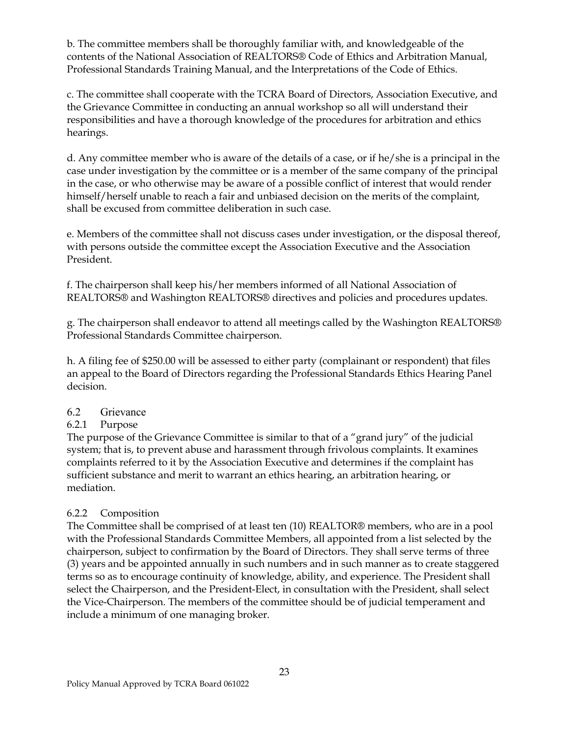b. The committee members shall be thoroughly familiar with, and knowledgeable of the contents of the National Association of REALTORS® Code of Ethics and Arbitration Manual, Professional Standards Training Manual, and the Interpretations of the Code of Ethics.

c. The committee shall cooperate with the TCRA Board of Directors, Association Executive, and the Grievance Committee in conducting an annual workshop so all will understand their responsibilities and have a thorough knowledge of the procedures for arbitration and ethics hearings.

d. Any committee member who is aware of the details of a case, or if he/she is a principal in the case under investigation by the committee or is a member of the same company of the principal in the case, or who otherwise may be aware of a possible conflict of interest that would render himself/herself unable to reach a fair and unbiased decision on the merits of the complaint, shall be excused from committee deliberation in such case.

e. Members of the committee shall not discuss cases under investigation, or the disposal thereof, with persons outside the committee except the Association Executive and the Association President.

f. The chairperson shall keep his/her members informed of all National Association of REALTORS® and Washington REALTORS® directives and policies and procedures updates.

g. The chairperson shall endeavor to attend all meetings called by the Washington REALTORS® Professional Standards Committee chairperson.

h. A filing fee of \$250.00 will be assessed to either party (complainant or respondent) that files an appeal to the Board of Directors regarding the Professional Standards Ethics Hearing Panel decision.

# 6.2 Grievance

# 6.2.1 Purpose

The purpose of the Grievance Committee is similar to that of a "grand jury" of the judicial system; that is, to prevent abuse and harassment through frivolous complaints. It examines complaints referred to it by the Association Executive and determines if the complaint has sufficient substance and merit to warrant an ethics hearing, an arbitration hearing, or mediation.

# 6.2.2 Composition

The Committee shall be comprised of at least ten (10) REALTOR® members, who are in a pool with the Professional Standards Committee Members, all appointed from a list selected by the chairperson, subject to confirmation by the Board of Directors. They shall serve terms of three (3) years and be appointed annually in such numbers and in such manner as to create staggered terms so as to encourage continuity of knowledge, ability, and experience. The President shall select the Chairperson, and the President-Elect, in consultation with the President, shall select the Vice-Chairperson. The members of the committee should be of judicial temperament and include a minimum of one managing broker.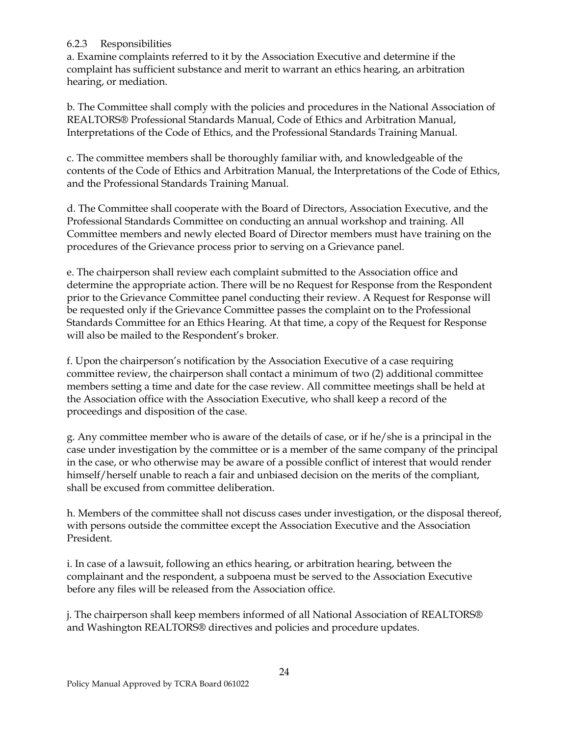## 6.2.3 Responsibilities

a. Examine complaints referred to it by the Association Executive and determine if the complaint has sufficient substance and merit to warrant an ethics hearing, an arbitration hearing, or mediation.

b. The Committee shall comply with the policies and procedures in the National Association of REALTORS® Professional Standards Manual, Code of Ethics and Arbitration Manual, Interpretations of the Code of Ethics, and the Professional Standards Training Manual.

c. The committee members shall be thoroughly familiar with, and knowledgeable of the contents of the Code of Ethics and Arbitration Manual, the Interpretations of the Code of Ethics, and the Professional Standards Training Manual.

d. The Committee shall cooperate with the Board of Directors, Association Executive, and the Professional Standards Committee on conducting an annual workshop and training. All Committee members and newly elected Board of Director members must have training on the procedures of the Grievance process prior to serving on a Grievance panel.

e. The chairperson shall review each complaint submitted to the Association office and determine the appropriate action. There will be no Request for Response from the Respondent prior to the Grievance Committee panel conducting their review. A Request for Response will be requested only if the Grievance Committee passes the complaint on to the Professional Standards Committee for an Ethics Hearing. At that time, a copy of the Request for Response will also be mailed to the Respondent's broker.

f. Upon the chairperson's notification by the Association Executive of a case requiring committee review, the chairperson shall contact a minimum of two (2) additional committee members setting a time and date for the case review. All committee meetings shall be held at the Association office with the Association Executive, who shall keep a record of the proceedings and disposition of the case.

g. Any committee member who is aware of the details of case, or if he/she is a principal in the case under investigation by the committee or is a member of the same company of the principal in the case, or who otherwise may be aware of a possible conflict of interest that would render himself/herself unable to reach a fair and unbiased decision on the merits of the compliant, shall be excused from committee deliberation.

h. Members of the committee shall not discuss cases under investigation, or the disposal thereof, with persons outside the committee except the Association Executive and the Association President.

i. In case of a lawsuit, following an ethics hearing, or arbitration hearing, between the complainant and the respondent, a subpoena must be served to the Association Executive before any files will be released from the Association office.

j. The chairperson shall keep members informed of all National Association of REALTORS® and Washington REALTORS® directives and policies and procedure updates.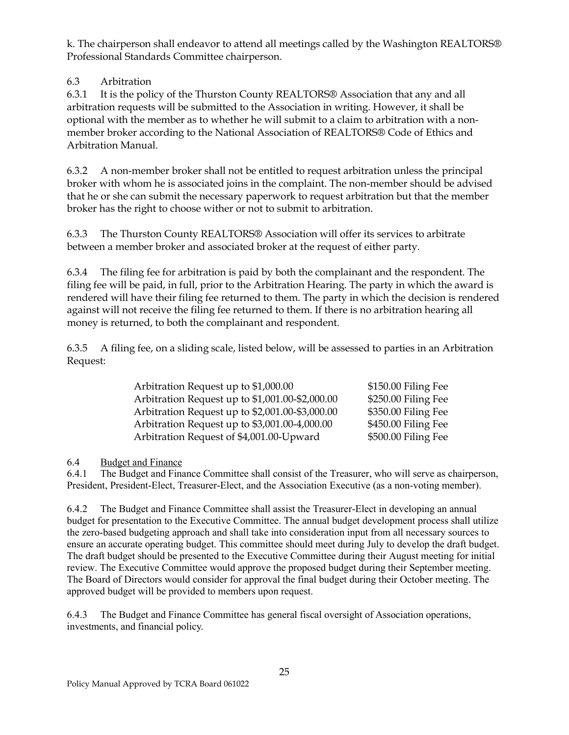k. The chairperson shall endeavor to attend all meetings called by the Washington REALTORS® Professional Standards Committee chairperson.

# 6.3 Arbitration

6.3.1 It is the policy of the Thurston County REALTORS® Association that any and all arbitration requests will be submitted to the Association in writing. However, it shall be optional with the member as to whether he will submit to a claim to arbitration with a nonmember broker according to the National Association of REALTORS® Code of Ethics and Arbitration Manual.

6.3.2 A non-member broker shall not be entitled to request arbitration unless the principal broker with whom he is associated joins in the complaint. The non-member should be advised that he or she can submit the necessary paperwork to request arbitration but that the member broker has the right to choose wither or not to submit to arbitration.

6.3.3 The Thurston County REALTORS® Association will offer its services to arbitrate between a member broker and associated broker at the request of either party.

6.3.4 The filing fee for arbitration is paid by both the complainant and the respondent. The filing fee will be paid, in full, prior to the Arbitration Hearing. The party in which the award is rendered will have their filing fee returned to them. The party in which the decision is rendered against will not receive the filing fee returned to them. If there is no arbitration hearing all money is returned, to both the complainant and respondent.

6.3.5 A filing fee, on a sliding scale, listed below, will be assessed to parties in an Arbitration Request:

| Arbitration Request up to \$1,000.00            | \$150.00 Filing Fee |
|-------------------------------------------------|---------------------|
| Arbitration Request up to \$1,001.00-\$2,000.00 | \$250.00 Filing Fee |
| Arbitration Request up to \$2,001.00-\$3,000.00 | \$350.00 Filing Fee |
| Arbitration Request up to \$3,001.00-4,000.00   | \$450.00 Filing Fee |
| Arbitration Request of \$4,001.00-Upward        | \$500.00 Filing Fee |

# 6.4 Budget and Finance

6.4.1 The Budget and Finance Committee shall consist of the Treasurer, who will serve as chairperson, President, President-Elect, Treasurer-Elect, and the Association Executive (as a non-voting member).

6.4.2 The Budget and Finance Committee shall assist the Treasurer-Elect in developing an annual budget for presentation to the Executive Committee. The annual budget development process shall utilize the zero-based budgeting approach and shall take into consideration input from all necessary sources to ensure an accurate operating budget. This committee should meet during July to develop the draft budget. The draft budget should be presented to the Executive Committee during their August meeting for initial review. The Executive Committee would approve the proposed budget during their September meeting. The Board of Directors would consider for approval the final budget during their October meeting. The approved budget will be provided to members upon request.

6.4.3 The Budget and Finance Committee has general fiscal oversight of Association operations, investments, and financial policy.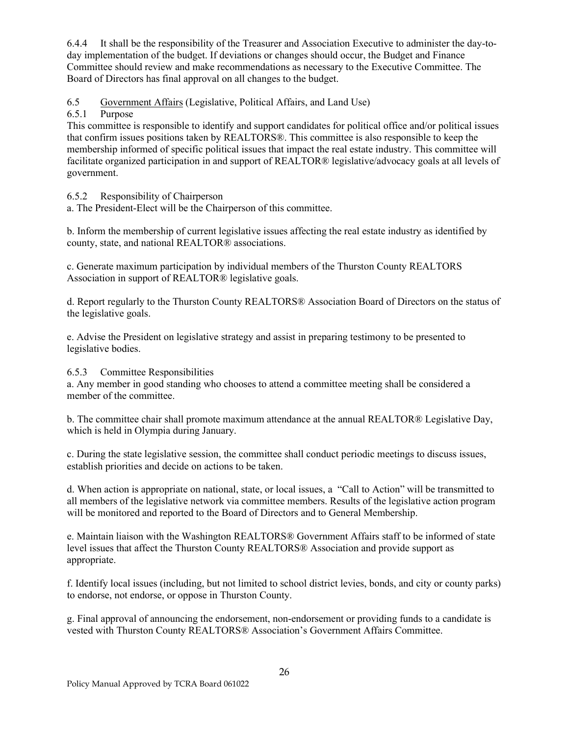6.4.4 It shall be the responsibility of the Treasurer and Association Executive to administer the day-today implementation of the budget. If deviations or changes should occur, the Budget and Finance Committee should review and make recommendations as necessary to the Executive Committee. The Board of Directors has final approval on all changes to the budget.

6.5 Government Affairs (Legislative, Political Affairs, and Land Use)<br>6.5.1 Purpose

# Purpose

This committee is responsible to identify and support candidates for political office and/or political issues that confirm issues positions taken by REALTORS®. This committee is also responsible to keep the membership informed of specific political issues that impact the real estate industry. This committee will facilitate organized participation in and support of REALTOR® legislative/advocacy goals at all levels of government.

6.5.2 Responsibility of Chairperson

a. The President-Elect will be the Chairperson of this committee.

b. Inform the membership of current legislative issues affecting the real estate industry as identified by county, state, and national REALTOR® associations.

c. Generate maximum participation by individual members of the Thurston County REALTORS Association in support of REALTOR® legislative goals.

d. Report regularly to the Thurston County REALTORS® Association Board of Directors on the status of the legislative goals.

e. Advise the President on legislative strategy and assist in preparing testimony to be presented to legislative bodies.

### 6.5.3 Committee Responsibilities

a. Any member in good standing who chooses to attend a committee meeting shall be considered a member of the committee.

b. The committee chair shall promote maximum attendance at the annual REALTOR® Legislative Day, which is held in Olympia during January.

c. During the state legislative session, the committee shall conduct periodic meetings to discuss issues, establish priorities and decide on actions to be taken.

d. When action is appropriate on national, state, or local issues, a "Call to Action" will be transmitted to all members of the legislative network via committee members. Results of the legislative action program will be monitored and reported to the Board of Directors and to General Membership.

e. Maintain liaison with the Washington REALTORS® Government Affairs staff to be informed of state level issues that affect the Thurston County REALTORS® Association and provide support as appropriate.

f. Identify local issues (including, but not limited to school district levies, bonds, and city or county parks) to endorse, not endorse, or oppose in Thurston County.

g. Final approval of announcing the endorsement, non-endorsement or providing funds to a candidate is vested with Thurston County REALTORS® Association's Government Affairs Committee.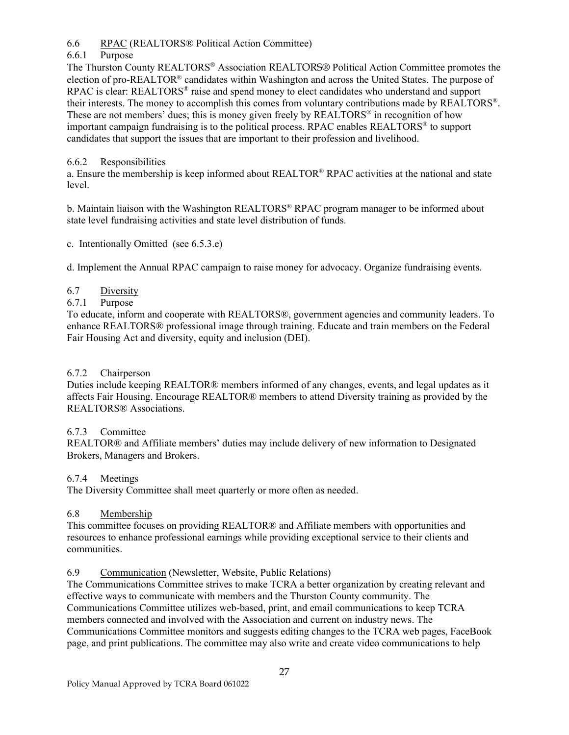6.6 RPAC (REALTORS® Political Action Committee)

## 6.6.1 Purpose

The Thurston County REALTORS® Association REALTORS® Political Action Committee promotes the election of pro-REALTOR<sup>®</sup> candidates within Washington and across the United States. The purpose of RPAC is clear: REALTORS® raise and spend money to elect candidates who understand and support their interests. The money to accomplish this comes from voluntary contributions made by REALTORS®. These are not members' dues; this is money given freely by  $REALTORS<sup>®</sup>$  in recognition of how important campaign fundraising is to the political process. RPAC enables REALTORS® to support candidates that support the issues that are important to their profession and livelihood.

### 6.6.2 Responsibilities

a. Ensure the membership is keep informed about REALTOR® RPAC activities at the national and state level.

b. Maintain liaison with the Washington REALTORS® RPAC program manager to be informed about state level fundraising activities and state level distribution of funds.

c. Intentionally Omitted (see 6.5.3.e)

d. Implement the Annual RPAC campaign to raise money for advocacy. Organize fundraising events.

# 6.7 Diversity

### 6.7.1 Purpose

To educate, inform and cooperate with REALTORS®, government agencies and community leaders. To enhance REALTORS® professional image through training. Educate and train members on the Federal Fair Housing Act and diversity, equity and inclusion (DEI).

### 6.7.2 Chairperson

Duties include keeping REALTOR® members informed of any changes, events, and legal updates as it affects Fair Housing. Encourage REALTOR® members to attend Diversity training as provided by the REALTORS® Associations.

### 6.7.3 Committee

REALTOR® and Affiliate members' duties may include delivery of new information to Designated Brokers, Managers and Brokers.

### 6.7.4 Meetings

The Diversity Committee shall meet quarterly or more often as needed.

### 6.8 Membership

This committee focuses on providing REALTOR® and Affiliate members with opportunities and resources to enhance professional earnings while providing exceptional service to their clients and communities.

6.9 Communication (Newsletter, Website, Public Relations)

The Communications Committee strives to make TCRA a better organization by creating relevant and effective ways to communicate with members and the Thurston County community. The Communications Committee utilizes web-based, print, and email communications to keep TCRA members connected and involved with the Association and current on industry news. The Communications Committee monitors and suggests editing changes to the TCRA web pages, FaceBook page, and print publications. The committee may also write and create video communications to help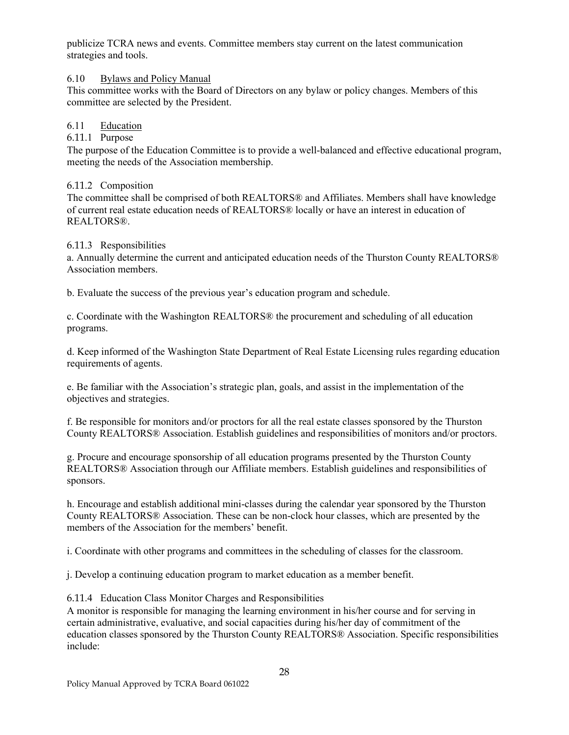publicize TCRA news and events. Committee members stay current on the latest communication strategies and tools.

6.10 Bylaws and Policy Manual

This committee works with the Board of Directors on any bylaw or policy changes. Members of this committee are selected by the President.

# 6.11 Education

### 6.11.1 Purpose

The purpose of the Education Committee is to provide a well-balanced and effective educational program, meeting the needs of the Association membership.

### 6.11.2 Composition

The committee shall be comprised of both REALTORS® and Affiliates. Members shall have knowledge of current real estate education needs of REALTORS® locally or have an interest in education of REALTORS®.

### 6.11.3 Responsibilities

a. Annually determine the current and anticipated education needs of the Thurston County REALTORS® Association members.

b. Evaluate the success of the previous year's education program and schedule.

c. Coordinate with the Washington REALTORS® the procurement and scheduling of all education programs.

d. Keep informed of the Washington State Department of Real Estate Licensing rules regarding education requirements of agents.

e. Be familiar with the Association's strategic plan, goals, and assist in the implementation of the objectives and strategies.

f. Be responsible for monitors and/or proctors for all the real estate classes sponsored by the Thurston County REALTORS® Association. Establish guidelines and responsibilities of monitors and/or proctors.

g. Procure and encourage sponsorship of all education programs presented by the Thurston County REALTORS® Association through our Affiliate members. Establish guidelines and responsibilities of sponsors.

h. Encourage and establish additional mini-classes during the calendar year sponsored by the Thurston County REALTORS® Association. These can be non-clock hour classes, which are presented by the members of the Association for the members' benefit.

i. Coordinate with other programs and committees in the scheduling of classes for the classroom.

j. Develop a continuing education program to market education as a member benefit.

6.11.4 Education Class Monitor Charges and Responsibilities

A monitor is responsible for managing the learning environment in his/her course and for serving in certain administrative, evaluative, and social capacities during his/her day of commitment of the education classes sponsored by the Thurston County REALTORS® Association. Specific responsibilities include: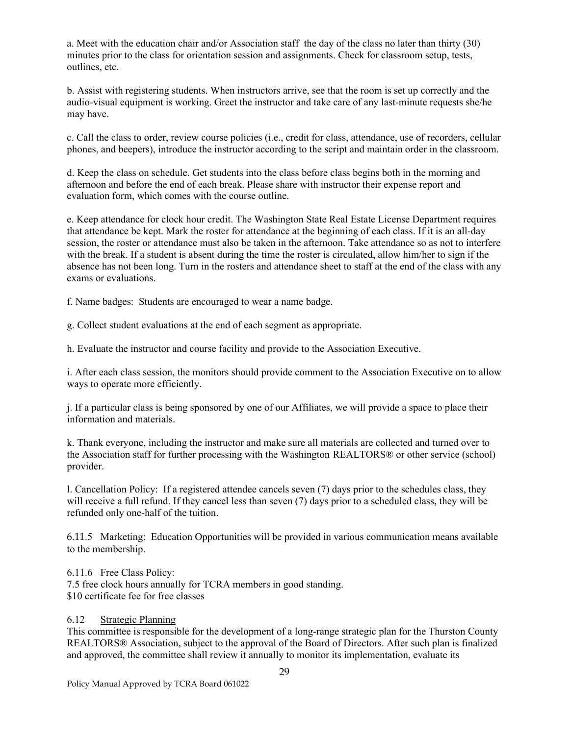a. Meet with the education chair and/or Association staff the day of the class no later than thirty (30) minutes prior to the class for orientation session and assignments. Check for classroom setup, tests, outlines, etc.

b. Assist with registering students. When instructors arrive, see that the room is set up correctly and the audio-visual equipment is working. Greet the instructor and take care of any last-minute requests she/he may have.

c. Call the class to order, review course policies (i.e., credit for class, attendance, use of recorders, cellular phones, and beepers), introduce the instructor according to the script and maintain order in the classroom.

d. Keep the class on schedule. Get students into the class before class begins both in the morning and afternoon and before the end of each break. Please share with instructor their expense report and evaluation form, which comes with the course outline.

e. Keep attendance for clock hour credit. The Washington State Real Estate License Department requires that attendance be kept. Mark the roster for attendance at the beginning of each class. If it is an all-day session, the roster or attendance must also be taken in the afternoon. Take attendance so as not to interfere with the break. If a student is absent during the time the roster is circulated, allow him/her to sign if the absence has not been long. Turn in the rosters and attendance sheet to staff at the end of the class with any exams or evaluations.

f. Name badges: Students are encouraged to wear a name badge.

g. Collect student evaluations at the end of each segment as appropriate.

h. Evaluate the instructor and course facility and provide to the Association Executive.

i. After each class session, the monitors should provide comment to the Association Executive on to allow ways to operate more efficiently.

j. If a particular class is being sponsored by one of our Affiliates, we will provide a space to place their information and materials.

k. Thank everyone, including the instructor and make sure all materials are collected and turned over to the Association staff for further processing with the Washington REALTORS® or other service (school) provider.

l. Cancellation Policy: If a registered attendee cancels seven (7) days prior to the schedules class, they will receive a full refund. If they cancel less than seven (7) days prior to a scheduled class, they will be refunded only one-half of the tuition.

6.11.5 Marketing: Education Opportunities will be provided in various communication means available to the membership.

6.11.6 Free Class Policy: 7.5 free clock hours annually for TCRA members in good standing. \$10 certificate fee for free classes

### 6.12 Strategic Planning

This committee is responsible for the development of a long-range strategic plan for the Thurston County REALTORS® Association, subject to the approval of the Board of Directors. After such plan is finalized and approved, the committee shall review it annually to monitor its implementation, evaluate its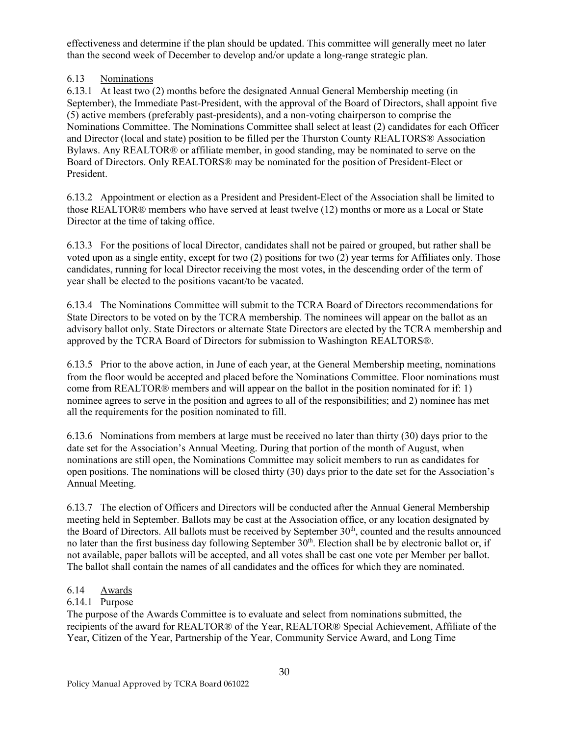effectiveness and determine if the plan should be updated. This committee will generally meet no later than the second week of December to develop and/or update a long-range strategic plan.

# 6.13 Nominations

6.13.1 At least two (2) months before the designated Annual General Membership meeting (in September), the Immediate Past-President, with the approval of the Board of Directors, shall appoint five (5) active members (preferably past-presidents), and a non-voting chairperson to comprise the Nominations Committee. The Nominations Committee shall select at least (2) candidates for each Officer and Director (local and state) position to be filled per the Thurston County REALTORS® Association Bylaws. Any REALTOR® or affiliate member, in good standing, may be nominated to serve on the Board of Directors. Only REALTORS® may be nominated for the position of President-Elect or President.

6.13.2 Appointment or election as a President and President-Elect of the Association shall be limited to those REALTOR® members who have served at least twelve (12) months or more as a Local or State Director at the time of taking office.

6.13.3 For the positions of local Director, candidates shall not be paired or grouped, but rather shall be voted upon as a single entity, except for two (2) positions for two (2) year terms for Affiliates only. Those candidates, running for local Director receiving the most votes, in the descending order of the term of year shall be elected to the positions vacant/to be vacated.

6.13.4 The Nominations Committee will submit to the TCRA Board of Directors recommendations for State Directors to be voted on by the TCRA membership. The nominees will appear on the ballot as an advisory ballot only. State Directors or alternate State Directors are elected by the TCRA membership and approved by the TCRA Board of Directors for submission to Washington REALTORS®.

6.13.5 Prior to the above action, in June of each year, at the General Membership meeting, nominations from the floor would be accepted and placed before the Nominations Committee. Floor nominations must come from REALTOR® members and will appear on the ballot in the position nominated for if: 1) nominee agrees to serve in the position and agrees to all of the responsibilities; and 2) nominee has met all the requirements for the position nominated to fill.

6.13.6 Nominations from members at large must be received no later than thirty (30) days prior to the date set for the Association's Annual Meeting. During that portion of the month of August, when nominations are still open, the Nominations Committee may solicit members to run as candidates for open positions. The nominations will be closed thirty (30) days prior to the date set for the Association's Annual Meeting.

6.13.7 The election of Officers and Directors will be conducted after the Annual General Membership meeting held in September. Ballots may be cast at the Association office, or any location designated by the Board of Directors. All ballots must be received by September 30<sup>th</sup>, counted and the results announced no later than the first business day following September  $30<sup>th</sup>$ . Election shall be by electronic ballot or, if not available, paper ballots will be accepted, and all votes shall be cast one vote per Member per ballot. The ballot shall contain the names of all candidates and the offices for which they are nominated.

### 6.14 Awards

### 6.14.1 Purpose

The purpose of the Awards Committee is to evaluate and select from nominations submitted, the recipients of the award for REALTOR® of the Year, REALTOR® Special Achievement, Affiliate of the Year, Citizen of the Year, Partnership of the Year, Community Service Award, and Long Time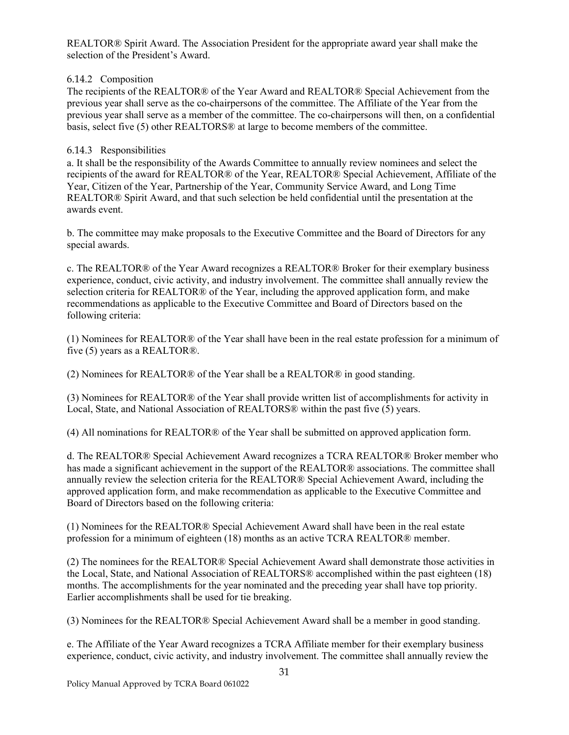REALTOR® Spirit Award. The Association President for the appropriate award year shall make the selection of the President's Award.

### 6.14.2 Composition

The recipients of the REALTOR® of the Year Award and REALTOR® Special Achievement from the previous year shall serve as the co-chairpersons of the committee. The Affiliate of the Year from the previous year shall serve as a member of the committee. The co-chairpersons will then, on a confidential basis, select five (5) other REALTORS® at large to become members of the committee.

### 6.14.3 Responsibilities

a. It shall be the responsibility of the Awards Committee to annually review nominees and select the recipients of the award for REALTOR® of the Year, REALTOR® Special Achievement, Affiliate of the Year, Citizen of the Year, Partnership of the Year, Community Service Award, and Long Time REALTOR® Spirit Award, and that such selection be held confidential until the presentation at the awards event.

b. The committee may make proposals to the Executive Committee and the Board of Directors for any special awards.

c. The REALTOR® of the Year Award recognizes a REALTOR® Broker for their exemplary business experience, conduct, civic activity, and industry involvement. The committee shall annually review the selection criteria for REALTOR® of the Year, including the approved application form, and make recommendations as applicable to the Executive Committee and Board of Directors based on the following criteria:

(1) Nominees for REALTOR® of the Year shall have been in the real estate profession for a minimum of five (5) years as a REALTOR®.

(2) Nominees for REALTOR® of the Year shall be a REALTOR® in good standing.

(3) Nominees for REALTOR® of the Year shall provide written list of accomplishments for activity in Local, State, and National Association of REALTORS® within the past five (5) years.

(4) All nominations for REALTOR® of the Year shall be submitted on approved application form.

d. The REALTOR® Special Achievement Award recognizes a TCRA REALTOR® Broker member who has made a significant achievement in the support of the REALTOR® associations. The committee shall annually review the selection criteria for the REALTOR® Special Achievement Award, including the approved application form, and make recommendation as applicable to the Executive Committee and Board of Directors based on the following criteria:

(1) Nominees for the REALTOR® Special Achievement Award shall have been in the real estate profession for a minimum of eighteen (18) months as an active TCRA REALTOR® member.

(2) The nominees for the REALTOR® Special Achievement Award shall demonstrate those activities in the Local, State, and National Association of REALTORS® accomplished within the past eighteen (18) months. The accomplishments for the year nominated and the preceding year shall have top priority. Earlier accomplishments shall be used for tie breaking.

(3) Nominees for the REALTOR® Special Achievement Award shall be a member in good standing.

e. The Affiliate of the Year Award recognizes a TCRA Affiliate member for their exemplary business experience, conduct, civic activity, and industry involvement. The committee shall annually review the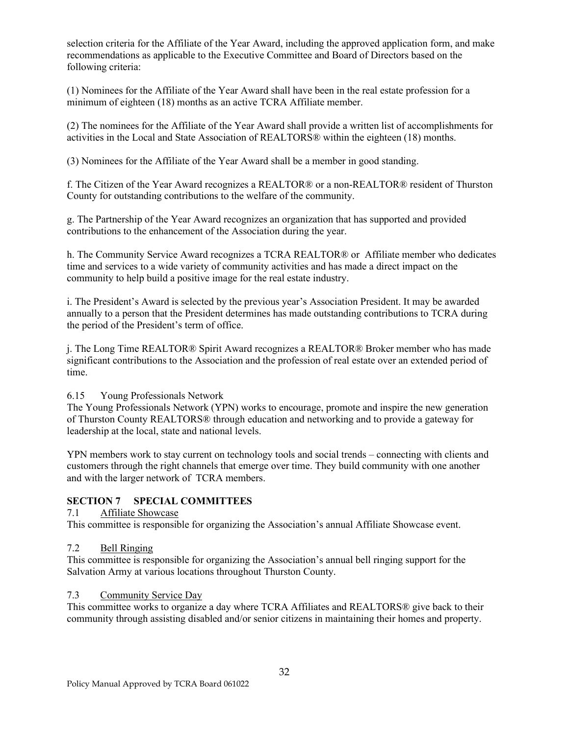selection criteria for the Affiliate of the Year Award, including the approved application form, and make recommendations as applicable to the Executive Committee and Board of Directors based on the following criteria:

(1) Nominees for the Affiliate of the Year Award shall have been in the real estate profession for a minimum of eighteen (18) months as an active TCRA Affiliate member.

(2) The nominees for the Affiliate of the Year Award shall provide a written list of accomplishments for activities in the Local and State Association of REALTORS® within the eighteen (18) months.

(3) Nominees for the Affiliate of the Year Award shall be a member in good standing.

f. The Citizen of the Year Award recognizes a REALTOR® or a non-REALTOR® resident of Thurston County for outstanding contributions to the welfare of the community.

g. The Partnership of the Year Award recognizes an organization that has supported and provided contributions to the enhancement of the Association during the year.

h. The Community Service Award recognizes a TCRA REALTOR® or Affiliate member who dedicates time and services to a wide variety of community activities and has made a direct impact on the community to help build a positive image for the real estate industry.

i. The President's Award is selected by the previous year's Association President. It may be awarded annually to a person that the President determines has made outstanding contributions to TCRA during the period of the President's term of office.

j. The Long Time REALTOR® Spirit Award recognizes a REALTOR® Broker member who has made significant contributions to the Association and the profession of real estate over an extended period of time.

6.15 Young Professionals Network

The Young Professionals Network (YPN) works to encourage, promote and inspire the new generation of Thurston County REALTORS® through education and networking and to provide a gateway for leadership at the local, state and national levels.

YPN members work to stay current on technology tools and social trends – connecting with clients and customers through the right channels that emerge over time. They build community with one another and with the larger network of TCRA members.

### **SECTION 7 SPECIAL COMMITTEES**

### 7.1 Affiliate Showcase

This committee is responsible for organizing the Association's annual Affiliate Showcase event.

### 7.2 Bell Ringing

This committee is responsible for organizing the Association's annual bell ringing support for the Salvation Army at various locations throughout Thurston County.

### 7.3 Community Service Day

This committee works to organize a day where TCRA Affiliates and REALTORS® give back to their community through assisting disabled and/or senior citizens in maintaining their homes and property.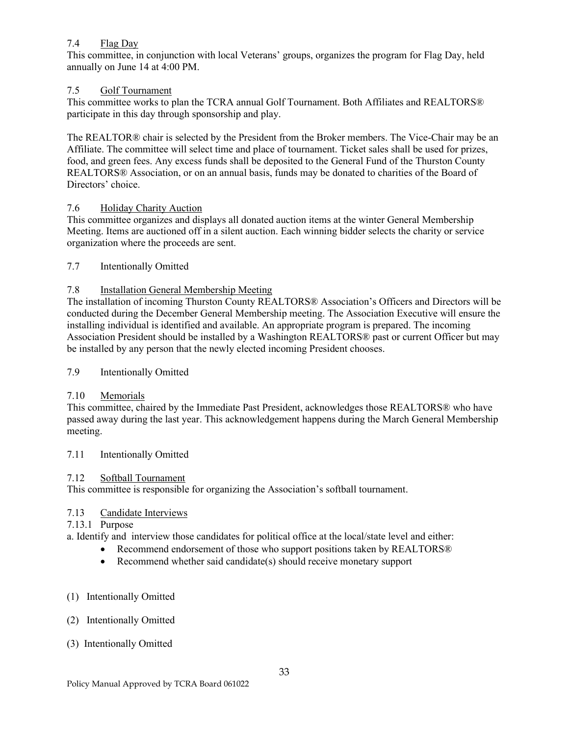## 7.4 Flag Day

This committee, in conjunction with local Veterans' groups, organizes the program for Flag Day, held annually on June 14 at 4:00 PM.

## 7.5 Golf Tournament

This committee works to plan the TCRA annual Golf Tournament. Both Affiliates and REALTORS® participate in this day through sponsorship and play.

The REALTOR® chair is selected by the President from the Broker members. The Vice-Chair may be an Affiliate. The committee will select time and place of tournament. Ticket sales shall be used for prizes, food, and green fees. Any excess funds shall be deposited to the General Fund of the Thurston County REALTORS® Association, or on an annual basis, funds may be donated to charities of the Board of Directors' choice.

### 7.6 Holiday Charity Auction

This committee organizes and displays all donated auction items at the winter General Membership Meeting. Items are auctioned off in a silent auction. Each winning bidder selects the charity or service organization where the proceeds are sent.

7.7 Intentionally Omitted

# 7.8 Installation General Membership Meeting

The installation of incoming Thurston County REALTORS® Association's Officers and Directors will be conducted during the December General Membership meeting. The Association Executive will ensure the installing individual is identified and available. An appropriate program is prepared. The incoming Association President should be installed by a Washington REALTORS® past or current Officer but may be installed by any person that the newly elected incoming President chooses.

## 7.9 Intentionally Omitted

# 7.10 Memorials

This committee, chaired by the Immediate Past President, acknowledges those REALTORS® who have passed away during the last year. This acknowledgement happens during the March General Membership meeting.

### 7.11 Intentionally Omitted

### 7.12 Softball Tournament

This committee is responsible for organizing the Association's softball tournament.

### 7.13 Candidate Interviews

# 7.13.1 Purpose

a. Identify and interview those candidates for political office at the local/state level and either:

- Recommend endorsement of those who support positions taken by REALTORS®
- Recommend whether said candidate(s) should receive monetary support

### (1) Intentionally Omitted

### (2) Intentionally Omitted

### (3) Intentionally Omitted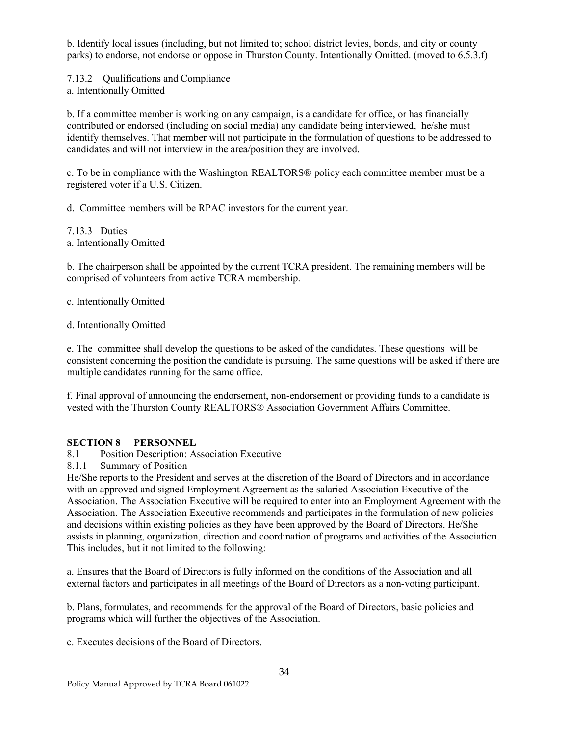b. Identify local issues (including, but not limited to; school district levies, bonds, and city or county parks) to endorse, not endorse or oppose in Thurston County. Intentionally Omitted. (moved to 6.5.3.f)

7.13.2 Qualifications and Compliance

a. Intentionally Omitted

b. If a committee member is working on any campaign, is a candidate for office, or has financially contributed or endorsed (including on social media) any candidate being interviewed, he/she must identify themselves. That member will not participate in the formulation of questions to be addressed to candidates and will not interview in the area/position they are involved.

c. To be in compliance with the Washington REALTORS® policy each committee member must be a registered voter if a U.S. Citizen.

d. Committee members will be RPAC investors for the current year.

7.13.3 Duties a. Intentionally Omitted

b. The chairperson shall be appointed by the current TCRA president. The remaining members will be comprised of volunteers from active TCRA membership.

c. Intentionally Omitted

d. Intentionally Omitted

e. The committee shall develop the questions to be asked of the candidates. These questions will be consistent concerning the position the candidate is pursuing. The same questions will be asked if there are multiple candidates running for the same office.

f. Final approval of announcing the endorsement, non-endorsement or providing funds to a candidate is vested with the Thurston County REALTORS® Association Government Affairs Committee.

### **SECTION 8 PERSONNEL**

8.1 Position Description: Association Executive

8.1.1 Summary of Position

He/She reports to the President and serves at the discretion of the Board of Directors and in accordance with an approved and signed Employment Agreement as the salaried Association Executive of the Association. The Association Executive will be required to enter into an Employment Agreement with the Association. The Association Executive recommends and participates in the formulation of new policies and decisions within existing policies as they have been approved by the Board of Directors. He/She assists in planning, organization, direction and coordination of programs and activities of the Association. This includes, but it not limited to the following:

a. Ensures that the Board of Directors is fully informed on the conditions of the Association and all external factors and participates in all meetings of the Board of Directors as a non-voting participant.

b. Plans, formulates, and recommends for the approval of the Board of Directors, basic policies and programs which will further the objectives of the Association.

c. Executes decisions of the Board of Directors.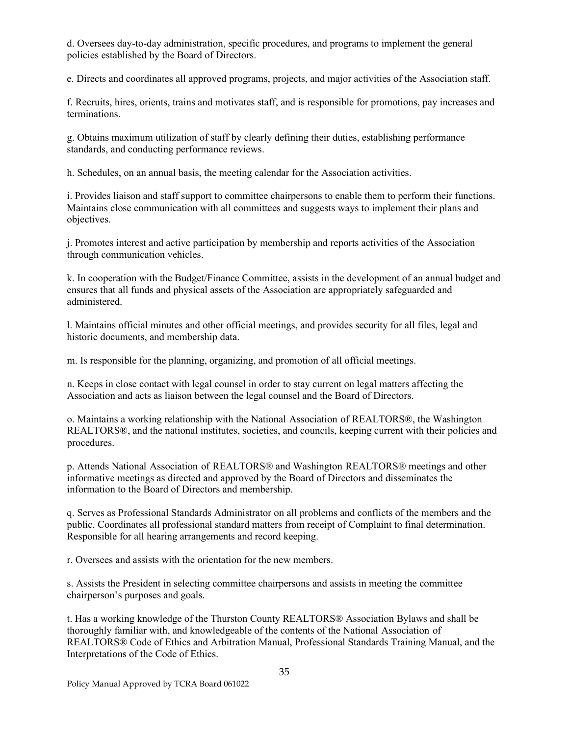d. Oversees day-to-day administration, specific procedures, and programs to implement the general policies established by the Board of Directors.

e. Directs and coordinates all approved programs, projects, and major activities of the Association staff.

f. Recruits, hires, orients, trains and motivates staff, and is responsible for promotions, pay increases and terminations.

g. Obtains maximum utilization of staff by clearly defining their duties, establishing performance standards, and conducting performance reviews.

h. Schedules, on an annual basis, the meeting calendar for the Association activities.

i. Provides liaison and staff support to committee chairpersons to enable them to perform their functions. Maintains close communication with all committees and suggests ways to implement their plans and objectives.

j. Promotes interest and active participation by membership and reports activities of the Association through communication vehicles.

k. In cooperation with the Budget/Finance Committee, assists in the development of an annual budget and ensures that all funds and physical assets of the Association are appropriately safeguarded and administered.

l. Maintains official minutes and other official meetings, and provides security for all files, legal and historic documents, and membership data.

m. Is responsible for the planning, organizing, and promotion of all official meetings.

n. Keeps in close contact with legal counsel in order to stay current on legal matters affecting the Association and acts as liaison between the legal counsel and the Board of Directors.

o. Maintains a working relationship with the National Association of REALTORS®, the Washington REALTORS®, and the national institutes, societies, and councils, keeping current with their policies and procedures.

p. Attends National Association of REALTORS® and Washington REALTORS® meetings and other informative meetings as directed and approved by the Board of Directors and disseminates the information to the Board of Directors and membership.

q. Serves as Professional Standards Administrator on all problems and conflicts of the members and the public. Coordinates all professional standard matters from receipt of Complaint to final determination. Responsible for all hearing arrangements and record keeping.

r. Oversees and assists with the orientation for the new members.

s. Assists the President in selecting committee chairpersons and assists in meeting the committee chairperson's purposes and goals.

t. Has a working knowledge of the Thurston County REALTORS® Association Bylaws and shall be thoroughly familiar with, and knowledgeable of the contents of the National Association of REALTORS® Code of Ethics and Arbitration Manual, Professional Standards Training Manual, and the Interpretations of the Code of Ethics.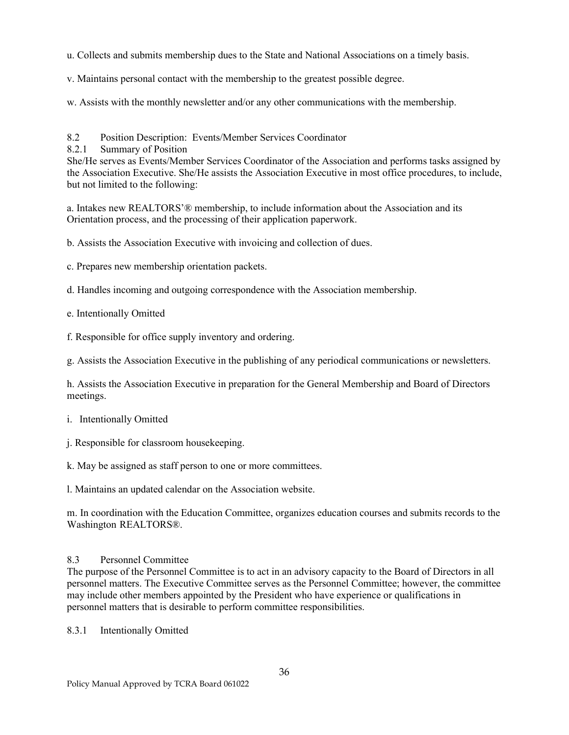u. Collects and submits membership dues to the State and National Associations on a timely basis.

v. Maintains personal contact with the membership to the greatest possible degree.

w. Assists with the monthly newsletter and/or any other communications with the membership.

8.2 Position Description: Events/Member Services Coordinator

8.2.1 Summary of Position

She/He serves as Events/Member Services Coordinator of the Association and performs tasks assigned by the Association Executive. She/He assists the Association Executive in most office procedures, to include, but not limited to the following:

a. Intakes new REALTORS'® membership, to include information about the Association and its Orientation process, and the processing of their application paperwork.

b. Assists the Association Executive with invoicing and collection of dues.

c. Prepares new membership orientation packets.

d. Handles incoming and outgoing correspondence with the Association membership.

e. Intentionally Omitted

f. Responsible for office supply inventory and ordering.

g. Assists the Association Executive in the publishing of any periodical communications or newsletters.

h. Assists the Association Executive in preparation for the General Membership and Board of Directors meetings.

- i. Intentionally Omitted
- j. Responsible for classroom housekeeping.
- k. May be assigned as staff person to one or more committees.

l. Maintains an updated calendar on the Association website.

m. In coordination with the Education Committee, organizes education courses and submits records to the Washington REALTORS®.

# 8.3 Personnel Committee

The purpose of the Personnel Committee is to act in an advisory capacity to the Board of Directors in all personnel matters. The Executive Committee serves as the Personnel Committee; however, the committee may include other members appointed by the President who have experience or qualifications in personnel matters that is desirable to perform committee responsibilities.

8.3.1 Intentionally Omitted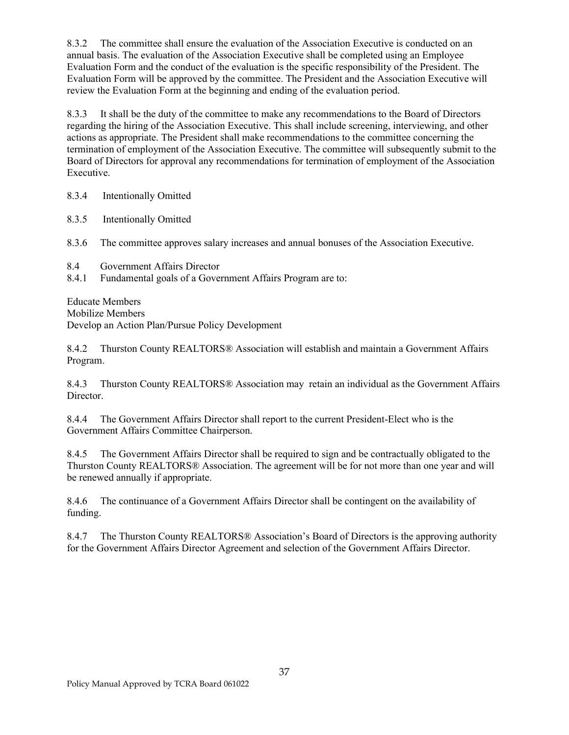8.3.2 The committee shall ensure the evaluation of the Association Executive is conducted on an annual basis. The evaluation of the Association Executive shall be completed using an Employee Evaluation Form and the conduct of the evaluation is the specific responsibility of the President. The Evaluation Form will be approved by the committee. The President and the Association Executive will review the Evaluation Form at the beginning and ending of the evaluation period.

8.3.3 It shall be the duty of the committee to make any recommendations to the Board of Directors regarding the hiring of the Association Executive. This shall include screening, interviewing, and other actions as appropriate. The President shall make recommendations to the committee concerning the termination of employment of the Association Executive. The committee will subsequently submit to the Board of Directors for approval any recommendations for termination of employment of the Association Executive.

8.3.4 Intentionally Omitted

8.3.5 Intentionally Omitted

8.3.6 The committee approves salary increases and annual bonuses of the Association Executive.

- 8.4 Government Affairs Director
- 8.4.1 Fundamental goals of a Government Affairs Program are to:

Educate Members Mobilize Members Develop an Action Plan/Pursue Policy Development

8.4.2 Thurston County REALTORS® Association will establish and maintain a Government Affairs Program.

8.4.3 Thurston County REALTORS® Association may retain an individual as the Government Affairs Director.

8.4.4 The Government Affairs Director shall report to the current President-Elect who is the Government Affairs Committee Chairperson.

8.4.5 The Government Affairs Director shall be required to sign and be contractually obligated to the Thurston County REALTORS® Association. The agreement will be for not more than one year and will be renewed annually if appropriate.

8.4.6 The continuance of a Government Affairs Director shall be contingent on the availability of funding.

8.4.7 The Thurston County REALTORS® Association's Board of Directors is the approving authority for the Government Affairs Director Agreement and selection of the Government Affairs Director.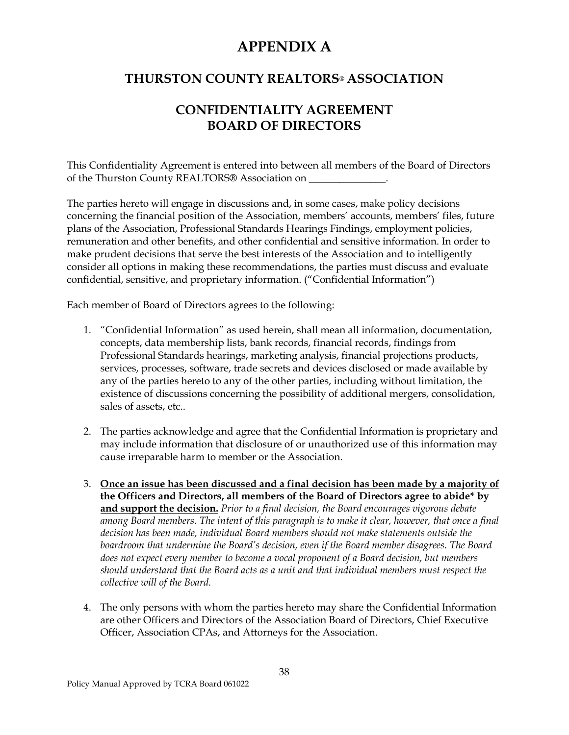# **APPENDIX A**

# **THURSTON COUNTY REALTORS**® **ASSOCIATION**

# **CONFIDENTIALITY AGREEMENT BOARD OF DIRECTORS**

This Confidentiality Agreement is entered into between all members of the Board of Directors of the Thurston County REALTORS® Association on \_\_\_\_\_\_\_\_\_\_\_\_\_\_\_.

The parties hereto will engage in discussions and, in some cases, make policy decisions concerning the financial position of the Association, members' accounts, members' files, future plans of the Association, Professional Standards Hearings Findings, employment policies, remuneration and other benefits, and other confidential and sensitive information. In order to make prudent decisions that serve the best interests of the Association and to intelligently consider all options in making these recommendations, the parties must discuss and evaluate confidential, sensitive, and proprietary information. ("Confidential Information")

Each member of Board of Directors agrees to the following:

- 1. "Confidential Information" as used herein, shall mean all information, documentation, concepts, data membership lists, bank records, financial records, findings from Professional Standards hearings, marketing analysis, financial projections products, services, processes, software, trade secrets and devices disclosed or made available by any of the parties hereto to any of the other parties, including without limitation, the existence of discussions concerning the possibility of additional mergers, consolidation, sales of assets, etc..
- 2. The parties acknowledge and agree that the Confidential Information is proprietary and may include information that disclosure of or unauthorized use of this information may cause irreparable harm to member or the Association.
- 3. **Once an issue has been discussed and a final decision has been made by a majority of the Officers and Directors, all members of the Board of Directors agree to abide\* by and support the decision.** *Prior to a final decision, the Board encourages vigorous debate among Board members. The intent of this paragraph is to make it clear, however, that once a final decision has been made, individual Board members should not make statements outside the boardroom that undermine the Board's decision, even if the Board member disagrees. The Board does not expect every member to become a vocal proponent of a Board decision, but members should understand that the Board acts as a unit and that individual members must respect the collective will of the Board.*
- 4. The only persons with whom the parties hereto may share the Confidential Information are other Officers and Directors of the Association Board of Directors, Chief Executive Officer, Association CPAs, and Attorneys for the Association.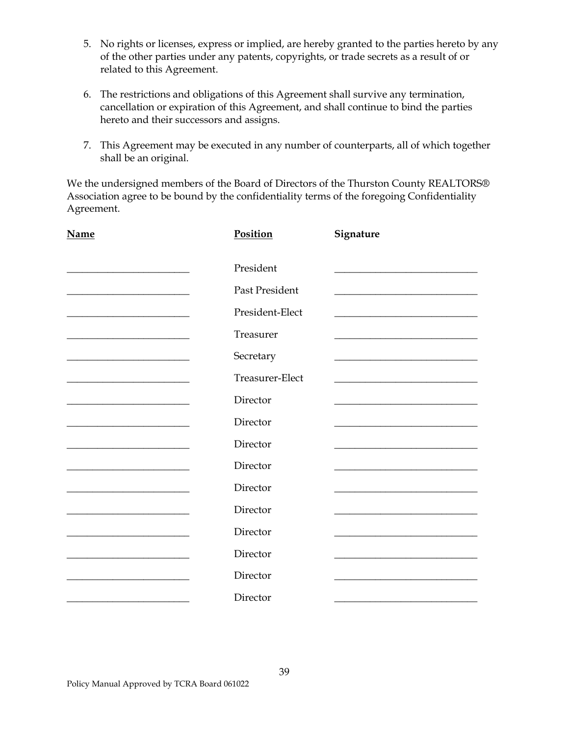- 5. No rights or licenses, express or implied, are hereby granted to the parties hereto by any of the other parties under any patents, copyrights, or trade secrets as a result of or related to this Agreement.
- 6. The restrictions and obligations of this Agreement shall survive any termination, cancellation or expiration of this Agreement, and shall continue to bind the parties hereto and their successors and assigns.
- 7. This Agreement may be executed in any number of counterparts, all of which together shall be an original.

We the undersigned members of the Board of Directors of the Thurston County REALTORS® Association agree to be bound by the confidentiality terms of the foregoing Confidentiality Agreement.

| <b>Name</b>                                                                                                                                                                                                                          | Position        | Signature |
|--------------------------------------------------------------------------------------------------------------------------------------------------------------------------------------------------------------------------------------|-----------------|-----------|
|                                                                                                                                                                                                                                      | President       |           |
| the control of the control of the control of the control of the control of                                                                                                                                                           | Past President  |           |
| the control of the control of the control of the control of the control of                                                                                                                                                           | President-Elect |           |
|                                                                                                                                                                                                                                      | Treasurer       |           |
|                                                                                                                                                                                                                                      | Secretary       |           |
| <u> 2002 - Johann Johann Johann Johann Johann Johann Johann Johann Johann Johann Johann Johann Johann Johann Johann Johann Johann Johann Johann Johann Johann Johann Johann Johann Johann Johann Johann Johann Johann Johann Joh</u> | Treasurer-Elect |           |
| the control of the control of the control of the control of the control of                                                                                                                                                           | Director        |           |
|                                                                                                                                                                                                                                      | Director        |           |
|                                                                                                                                                                                                                                      | Director        |           |
| the control of the control of the control of the control of the control of                                                                                                                                                           | Director        |           |
|                                                                                                                                                                                                                                      | Director        |           |
|                                                                                                                                                                                                                                      | Director        |           |
|                                                                                                                                                                                                                                      | Director        |           |
|                                                                                                                                                                                                                                      | Director        |           |
|                                                                                                                                                                                                                                      | Director        |           |
|                                                                                                                                                                                                                                      | Director        |           |
|                                                                                                                                                                                                                                      |                 |           |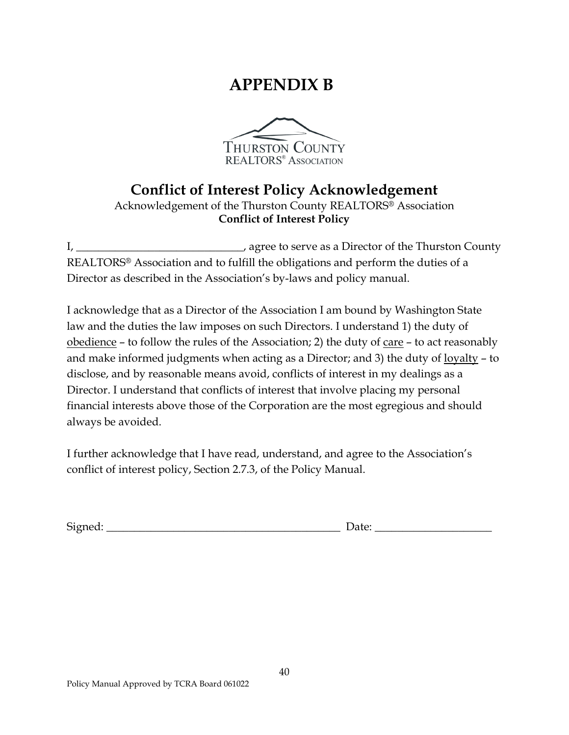# **APPENDIX B**



# **Conflict of Interest Policy Acknowledgement**

Acknowledgement of the Thurston County REALTORS*®* Association **Conflict of Interest Policy**

I, \_\_\_\_\_\_\_\_\_\_\_\_\_\_\_\_\_\_\_\_\_\_\_\_\_\_\_\_\_\_\_\_\_, agree to serve as a Director of the Thurston County REALTORS*®* Association and to fulfill the obligations and perform the duties of a Director as described in the Association's by-laws and policy manual.

I acknowledge that as a Director of the Association I am bound by Washington State law and the duties the law imposes on such Directors. I understand 1) the duty of obedience – to follow the rules of the Association; 2) the duty of care – to act reasonably and make informed judgments when acting as a Director; and 3) the duty of  $\frac{logalty - to}{log}$ disclose, and by reasonable means avoid, conflicts of interest in my dealings as a Director. I understand that conflicts of interest that involve placing my personal financial interests above those of the Corporation are the most egregious and should always be avoided.

I further acknowledge that I have read, understand, and agree to the Association's conflict of interest policy, Section 2.7.3, of the Policy Manual.

Signed: \_\_\_\_\_\_\_\_\_\_\_\_\_\_\_\_\_\_\_\_\_\_\_\_\_\_\_\_\_\_\_\_\_\_\_\_\_\_\_\_\_\_ Date: \_\_\_\_\_\_\_\_\_\_\_\_\_\_\_\_\_\_\_\_\_